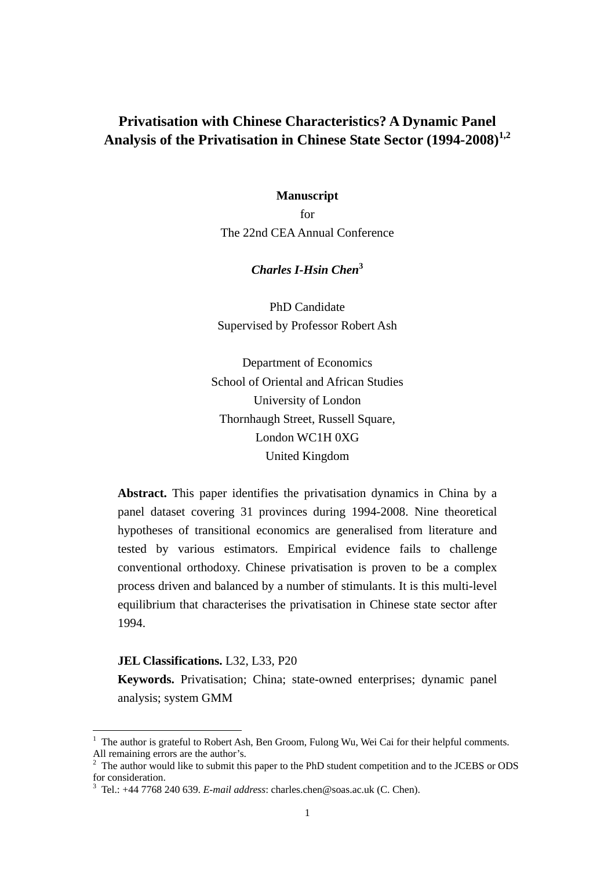# **Privatisation with Chinese Characteristics? A Dynamic Panel Analysis of the Privatisation in Chinese State Sector (1994-2008)1,2**

#### **Manuscript**

for The 22nd CEA Annual Conference

# *Charles I-Hsin Chen***<sup>3</sup>**

PhD Candidate Supervised by Professor Robert Ash

Department of Economics School of Oriental and African Studies University of London Thornhaugh Street, Russell Square, London WC1H 0XG United Kingdom

**Abstract.** This paper identifies the privatisation dynamics in China by a panel dataset covering 31 provinces during 1994-2008. Nine theoretical hypotheses of transitional economics are generalised from literature and tested by various estimators. Empirical evidence fails to challenge conventional orthodoxy. Chinese privatisation is proven to be a complex process driven and balanced by a number of stimulants. It is this multi-level equilibrium that characterises the privatisation in Chinese state sector after 1994.

#### **JEL Classifications.** L32, L33, P20

<u>.</u>

**Keywords.** Privatisation; China; state-owned enterprises; dynamic panel analysis; system GMM

<sup>1</sup> The author is grateful to Robert Ash, Ben Groom, Fulong Wu, Wei Cai for their helpful comments. All remaining errors are the author's.

<sup>&</sup>lt;sup>2</sup> The author would like to submit this paper to the PhD student competition and to the JCEBS or ODS for consideration.

<sup>3</sup> Tel.: +44 7768 240 639. *E-mail address*: charles.chen@soas.ac.uk (C. Chen).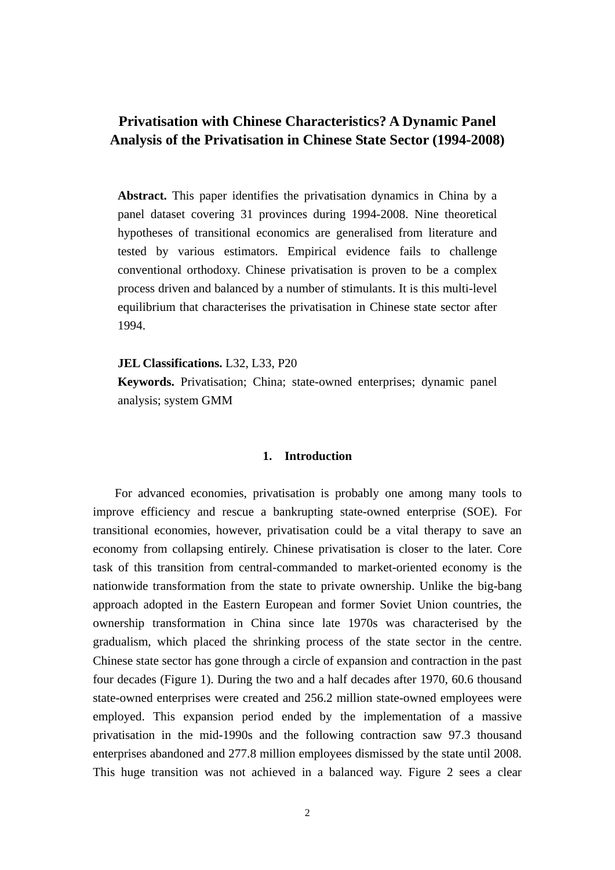# **Privatisation with Chinese Characteristics? A Dynamic Panel Analysis of the Privatisation in Chinese State Sector (1994-2008)**

**Abstract.** This paper identifies the privatisation dynamics in China by a panel dataset covering 31 provinces during 1994-2008. Nine theoretical hypotheses of transitional economics are generalised from literature and tested by various estimators. Empirical evidence fails to challenge conventional orthodoxy. Chinese privatisation is proven to be a complex process driven and balanced by a number of stimulants. It is this multi-level equilibrium that characterises the privatisation in Chinese state sector after 1994.

**JEL Classifications.** L32, L33, P20

**Keywords.** Privatisation; China; state-owned enterprises; dynamic panel analysis; system GMM

#### **1. Introduction**

For advanced economies, privatisation is probably one among many tools to improve efficiency and rescue a bankrupting state-owned enterprise (SOE). For transitional economies, however, privatisation could be a vital therapy to save an economy from collapsing entirely. Chinese privatisation is closer to the later. Core task of this transition from central-commanded to market-oriented economy is the nationwide transformation from the state to private ownership. Unlike the big-bang approach adopted in the Eastern European and former Soviet Union countries, the ownership transformation in China since late 1970s was characterised by the gradualism, which placed the shrinking process of the state sector in the centre. Chinese state sector has gone through a circle of expansion and contraction in the past four decades (Figure 1). During the two and a half decades after 1970, 60.6 thousand state-owned enterprises were created and 256.2 million state-owned employees were employed. This expansion period ended by the implementation of a massive privatisation in the mid-1990s and the following contraction saw 97.3 thousand enterprises abandoned and 277.8 million employees dismissed by the state until 2008. This huge transition was not achieved in a balanced way. Figure 2 sees a clear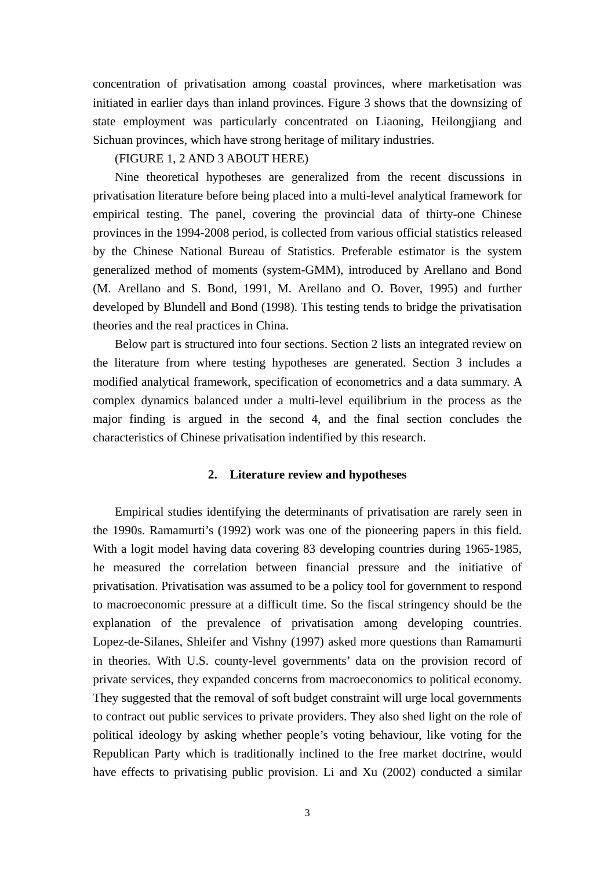concentration of privatisation among coastal provinces, where marketisation was initiated in earlier days than inland provinces. Figure 3 shows that the downsizing of state employment was particularly concentrated on Liaoning, Heilongjiang and Sichuan provinces, which have strong heritage of military industries.

## (FIGURE 1, 2 AND 3 ABOUT HERE)

Nine theoretical hypotheses are generalized from the recent discussions in privatisation literature before being placed into a multi-level analytical framework for empirical testing. The panel, covering the provincial data of thirty-one Chinese provinces in the 1994-2008 period, is collected from various official statistics released by the Chinese National Bureau of Statistics. Preferable estimator is the system generalized method of moments (system-GMM), introduced by Arellano and Bond (M. Arellano and S. Bond, 1991, M. Arellano and O. Bover, 1995) and further developed by Blundell and Bond (1998). This testing tends to bridge the privatisation theories and the real practices in China.

Below part is structured into four sections. Section 2 lists an integrated review on the literature from where testing hypotheses are generated. Section 3 includes a modified analytical framework, specification of econometrics and a data summary. A complex dynamics balanced under a multi-level equilibrium in the process as the major finding is argued in the second 4, and the final section concludes the characteristics of Chinese privatisation indentified by this research.

# **2. Literature review and hypotheses**

Empirical studies identifying the determinants of privatisation are rarely seen in the 1990s. Ramamurti's (1992) work was one of the pioneering papers in this field. With a logit model having data covering 83 developing countries during 1965-1985, he measured the correlation between financial pressure and the initiative of privatisation. Privatisation was assumed to be a policy tool for government to respond to macroeconomic pressure at a difficult time. So the fiscal stringency should be the explanation of the prevalence of privatisation among developing countries. Lopez-de-Silanes, Shleifer and Vishny (1997) asked more questions than Ramamurti in theories. With U.S. county-level governments' data on the provision record of private services, they expanded concerns from macroeconomics to political economy. They suggested that the removal of soft budget constraint will urge local governments to contract out public services to private providers. They also shed light on the role of political ideology by asking whether people's voting behaviour, like voting for the Republican Party which is traditionally inclined to the free market doctrine, would have effects to privatising public provision. Li and Xu (2002) conducted a similar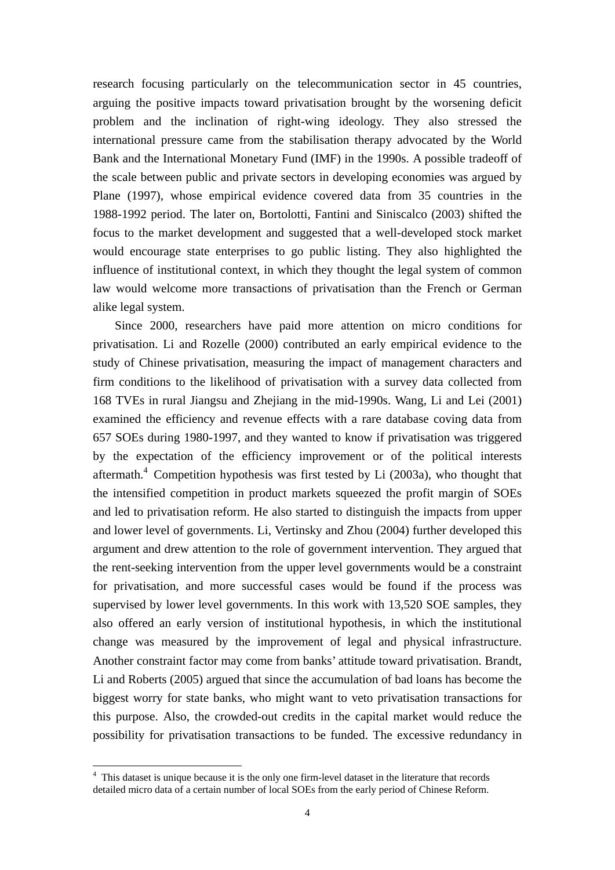research focusing particularly on the telecommunication sector in 45 countries, arguing the positive impacts toward privatisation brought by the worsening deficit problem and the inclination of right-wing ideology. They also stressed the international pressure came from the stabilisation therapy advocated by the World Bank and the International Monetary Fund (IMF) in the 1990s. A possible tradeoff of the scale between public and private sectors in developing economies was argued by Plane (1997), whose empirical evidence covered data from 35 countries in the 1988-1992 period. The later on, Bortolotti, Fantini and Siniscalco (2003) shifted the focus to the market development and suggested that a well-developed stock market would encourage state enterprises to go public listing. They also highlighted the influence of institutional context, in which they thought the legal system of common law would welcome more transactions of privatisation than the French or German alike legal system.

Since 2000, researchers have paid more attention on micro conditions for privatisation. Li and Rozelle (2000) contributed an early empirical evidence to the study of Chinese privatisation, measuring the impact of management characters and firm conditions to the likelihood of privatisation with a survey data collected from 168 TVEs in rural Jiangsu and Zhejiang in the mid-1990s. Wang, Li and Lei (2001) examined the efficiency and revenue effects with a rare database coving data from 657 SOEs during 1980-1997, and they wanted to know if privatisation was triggered by the expectation of the efficiency improvement or of the political interests aftermath. $4$  Competition hypothesis was first tested by Li (2003a), who thought that the intensified competition in product markets squeezed the profit margin of SOEs and led to privatisation reform. He also started to distinguish the impacts from upper and lower level of governments. Li, Vertinsky and Zhou (2004) further developed this argument and drew attention to the role of government intervention. They argued that the rent-seeking intervention from the upper level governments would be a constraint for privatisation, and more successful cases would be found if the process was supervised by lower level governments. In this work with 13,520 SOE samples, they also offered an early version of institutional hypothesis, in which the institutional change was measured by the improvement of legal and physical infrastructure. Another constraint factor may come from banks' attitude toward privatisation. Brandt, Li and Roberts (2005) argued that since the accumulation of bad loans has become the biggest worry for state banks, who might want to veto privatisation transactions for this purpose. Also, the crowded-out credits in the capital market would reduce the possibility for privatisation transactions to be funded. The excessive redundancy in

<u>.</u>

<sup>&</sup>lt;sup>4</sup> This dataset is unique because it is the only one firm-level dataset in the literature that records detailed micro data of a certain number of local SOEs from the early period of Chinese Reform.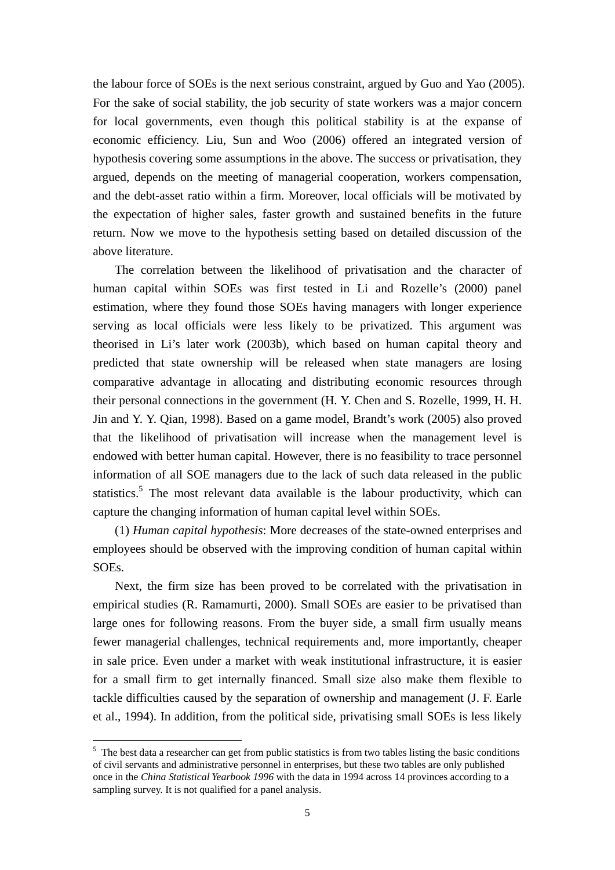the labour force of SOEs is the next serious constraint, argued by Guo and Yao (2005). For the sake of social stability, the job security of state workers was a major concern for local governments, even though this political stability is at the expanse of economic efficiency. Liu, Sun and Woo (2006) offered an integrated version of hypothesis covering some assumptions in the above. The success or privatisation, they argued, depends on the meeting of managerial cooperation, workers compensation, and the debt-asset ratio within a firm. Moreover, local officials will be motivated by the expectation of higher sales, faster growth and sustained benefits in the future return. Now we move to the hypothesis setting based on detailed discussion of the above literature.

The correlation between the likelihood of privatisation and the character of human capital within SOEs was first tested in Li and Rozelle's (2000) panel estimation, where they found those SOEs having managers with longer experience serving as local officials were less likely to be privatized. This argument was theorised in Li's later work (2003b), which based on human capital theory and predicted that state ownership will be released when state managers are losing comparative advantage in allocating and distributing economic resources through their personal connections in the government (H. Y. Chen and S. Rozelle, 1999, H. H. Jin and Y. Y. Qian, 1998). Based on a game model, Brandt's work (2005) also proved that the likelihood of privatisation will increase when the management level is endowed with better human capital. However, there is no feasibility to trace personnel information of all SOE managers due to the lack of such data released in the public statistics.<sup>5</sup> The most relevant data available is the labour productivity, which can capture the changing information of human capital level within SOEs.

(1) *Human capital hypothesis*: More decreases of the state-owned enterprises and employees should be observed with the improving condition of human capital within SOEs.

Next, the firm size has been proved to be correlated with the privatisation in empirical studies (R. Ramamurti, 2000). Small SOEs are easier to be privatised than large ones for following reasons. From the buyer side, a small firm usually means fewer managerial challenges, technical requirements and, more importantly, cheaper in sale price. Even under a market with weak institutional infrastructure, it is easier for a small firm to get internally financed. Small size also make them flexible to tackle difficulties caused by the separation of ownership and management (J. F. Earle et al., 1994). In addition, from the political side, privatising small SOEs is less likely

<sup>&</sup>lt;sup>5</sup> The best data a researcher can get from public statistics is from two tables listing the basic conditions of civil servants and administrative personnel in enterprises, but these two tables are only published once in the *China Statistical Yearbook 1996* with the data in 1994 across 14 provinces according to a sampling survey. It is not qualified for a panel analysis.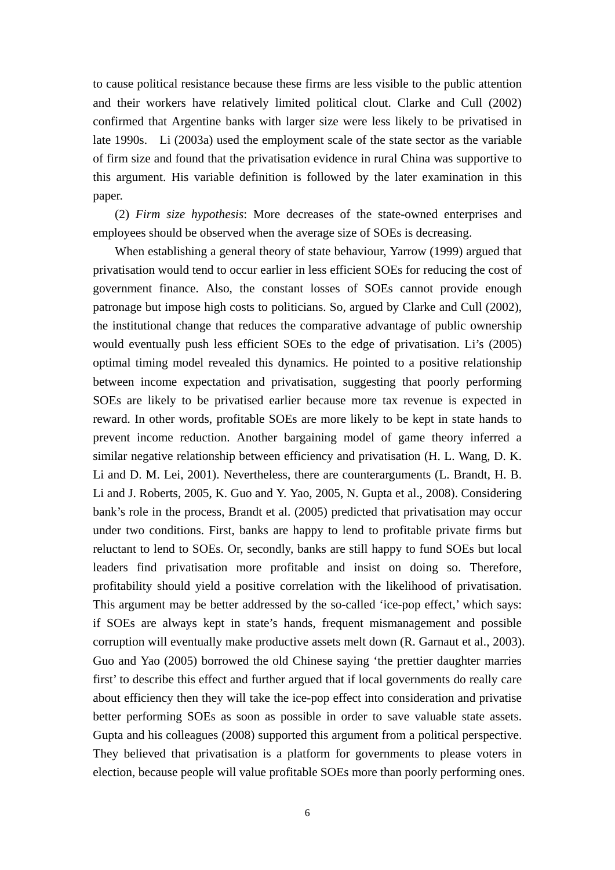to cause political resistance because these firms are less visible to the public attention and their workers have relatively limited political clout. Clarke and Cull (2002) confirmed that Argentine banks with larger size were less likely to be privatised in late 1990s. Li (2003a) used the employment scale of the state sector as the variable of firm size and found that the privatisation evidence in rural China was supportive to this argument. His variable definition is followed by the later examination in this paper.

(2) *Firm size hypothesis*: More decreases of the state-owned enterprises and employees should be observed when the average size of SOEs is decreasing.

When establishing a general theory of state behaviour, Yarrow (1999) argued that privatisation would tend to occur earlier in less efficient SOEs for reducing the cost of government finance. Also, the constant losses of SOEs cannot provide enough patronage but impose high costs to politicians. So, argued by Clarke and Cull (2002), the institutional change that reduces the comparative advantage of public ownership would eventually push less efficient SOEs to the edge of privatisation. Li's (2005) optimal timing model revealed this dynamics. He pointed to a positive relationship between income expectation and privatisation, suggesting that poorly performing SOEs are likely to be privatised earlier because more tax revenue is expected in reward. In other words, profitable SOEs are more likely to be kept in state hands to prevent income reduction. Another bargaining model of game theory inferred a similar negative relationship between efficiency and privatisation (H. L. Wang, D. K. Li and D. M. Lei, 2001). Nevertheless, there are counterarguments (L. Brandt, H. B. Li and J. Roberts, 2005, K. Guo and Y. Yao, 2005, N. Gupta et al., 2008). Considering bank's role in the process, Brandt et al. (2005) predicted that privatisation may occur under two conditions. First, banks are happy to lend to profitable private firms but reluctant to lend to SOEs. Or, secondly, banks are still happy to fund SOEs but local leaders find privatisation more profitable and insist on doing so. Therefore, profitability should yield a positive correlation with the likelihood of privatisation. This argument may be better addressed by the so-called 'ice-pop effect,' which says: if SOEs are always kept in state's hands, frequent mismanagement and possible corruption will eventually make productive assets melt down (R. Garnaut et al., 2003). Guo and Yao (2005) borrowed the old Chinese saying 'the prettier daughter marries first' to describe this effect and further argued that if local governments do really care about efficiency then they will take the ice-pop effect into consideration and privatise better performing SOEs as soon as possible in order to save valuable state assets. Gupta and his colleagues (2008) supported this argument from a political perspective. They believed that privatisation is a platform for governments to please voters in election, because people will value profitable SOEs more than poorly performing ones.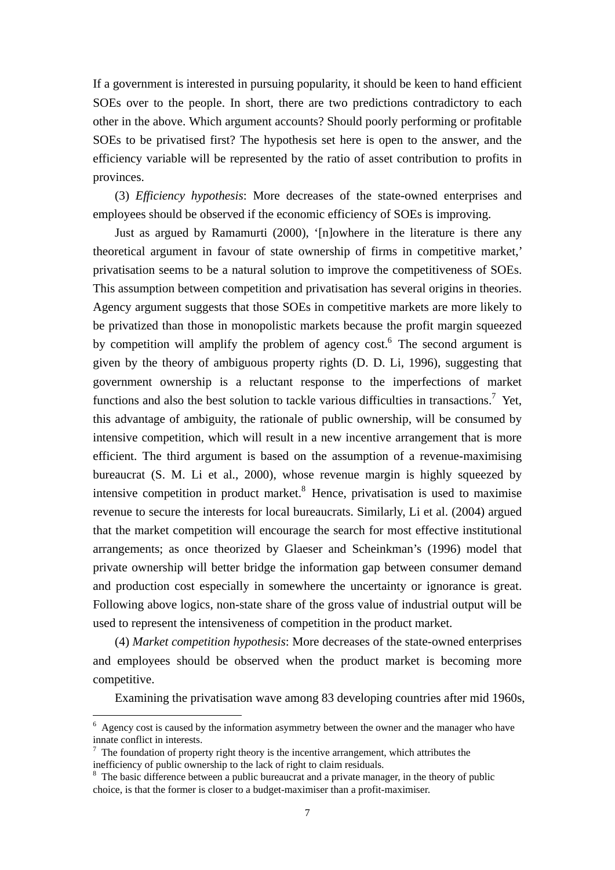If a government is interested in pursuing popularity, it should be keen to hand efficient SOEs over to the people. In short, there are two predictions contradictory to each other in the above. Which argument accounts? Should poorly performing or profitable SOEs to be privatised first? The hypothesis set here is open to the answer, and the efficiency variable will be represented by the ratio of asset contribution to profits in provinces.

(3) *Efficiency hypothesis*: More decreases of the state-owned enterprises and employees should be observed if the economic efficiency of SOEs is improving.

Just as argued by Ramamurti (2000), '[n]owhere in the literature is there any theoretical argument in favour of state ownership of firms in competitive market,' privatisation seems to be a natural solution to improve the competitiveness of SOEs. This assumption between competition and privatisation has several origins in theories. Agency argument suggests that those SOEs in competitive markets are more likely to be privatized than those in monopolistic markets because the profit margin squeezed by competition will amplify the problem of agency cost.<sup>6</sup> The second argument is given by the theory of ambiguous property rights (D. D. Li, 1996), suggesting that government ownership is a reluctant response to the imperfections of market functions and also the best solution to tackle various difficulties in transactions.<sup>7</sup> Yet, this advantage of ambiguity, the rationale of public ownership, will be consumed by intensive competition, which will result in a new incentive arrangement that is more efficient. The third argument is based on the assumption of a revenue-maximising bureaucrat (S. M. Li et al., 2000), whose revenue margin is highly squeezed by intensive competition in product market. $8$  Hence, privatisation is used to maximise revenue to secure the interests for local bureaucrats. Similarly, Li et al. (2004) argued that the market competition will encourage the search for most effective institutional arrangements; as once theorized by Glaeser and Scheinkman's (1996) model that private ownership will better bridge the information gap between consumer demand and production cost especially in somewhere the uncertainty or ignorance is great. Following above logics, non-state share of the gross value of industrial output will be used to represent the intensiveness of competition in the product market.

(4) *Market competition hypothesis*: More decreases of the state-owned enterprises and employees should be observed when the product market is becoming more competitive.

Examining the privatisation wave among 83 developing countries after mid 1960s,

<sup>&</sup>lt;sup>6</sup> Agency cost is caused by the information asymmetry between the owner and the manager who have innate conflict in interests.

 $\frac{7}{1}$  The foundation of property right theory is the incentive arrangement, which attributes the inefficiency of public ownership to the lack of right to claim residuals. 8

<sup>&</sup>lt;sup>8</sup> The basic difference between a public bureaucrat and a private manager, in the theory of public choice, is that the former is closer to a budget-maximiser than a profit-maximiser.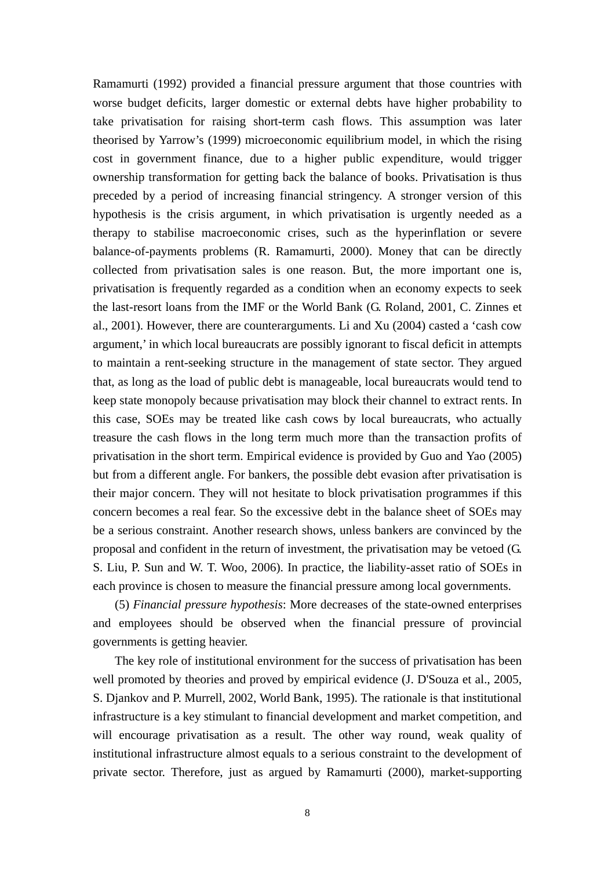Ramamurti (1992) provided a financial pressure argument that those countries with worse budget deficits, larger domestic or external debts have higher probability to take privatisation for raising short-term cash flows. This assumption was later theorised by Yarrow's (1999) microeconomic equilibrium model, in which the rising cost in government finance, due to a higher public expenditure, would trigger ownership transformation for getting back the balance of books. Privatisation is thus preceded by a period of increasing financial stringency. A stronger version of this hypothesis is the crisis argument, in which privatisation is urgently needed as a therapy to stabilise macroeconomic crises, such as the hyperinflation or severe balance-of-payments problems (R. Ramamurti, 2000). Money that can be directly collected from privatisation sales is one reason. But, the more important one is, privatisation is frequently regarded as a condition when an economy expects to seek the last-resort loans from the IMF or the World Bank (G. Roland, 2001, C. Zinnes et al., 2001). However, there are counterarguments. Li and Xu (2004) casted a 'cash cow argument,' in which local bureaucrats are possibly ignorant to fiscal deficit in attempts to maintain a rent-seeking structure in the management of state sector. They argued that, as long as the load of public debt is manageable, local bureaucrats would tend to keep state monopoly because privatisation may block their channel to extract rents. In this case, SOEs may be treated like cash cows by local bureaucrats, who actually treasure the cash flows in the long term much more than the transaction profits of privatisation in the short term. Empirical evidence is provided by Guo and Yao (2005) but from a different angle. For bankers, the possible debt evasion after privatisation is their major concern. They will not hesitate to block privatisation programmes if this concern becomes a real fear. So the excessive debt in the balance sheet of SOEs may be a serious constraint. Another research shows, unless bankers are convinced by the proposal and confident in the return of investment, the privatisation may be vetoed (G. S. Liu, P. Sun and W. T. Woo, 2006). In practice, the liability-asset ratio of SOEs in each province is chosen to measure the financial pressure among local governments.

(5) *Financial pressure hypothesis*: More decreases of the state-owned enterprises and employees should be observed when the financial pressure of provincial governments is getting heavier.

The key role of institutional environment for the success of privatisation has been well promoted by theories and proved by empirical evidence (J. D'Souza et al., 2005, S. Djankov and P. Murrell, 2002, World Bank, 1995). The rationale is that institutional infrastructure is a key stimulant to financial development and market competition, and will encourage privatisation as a result. The other way round, weak quality of institutional infrastructure almost equals to a serious constraint to the development of private sector. Therefore, just as argued by Ramamurti (2000), market-supporting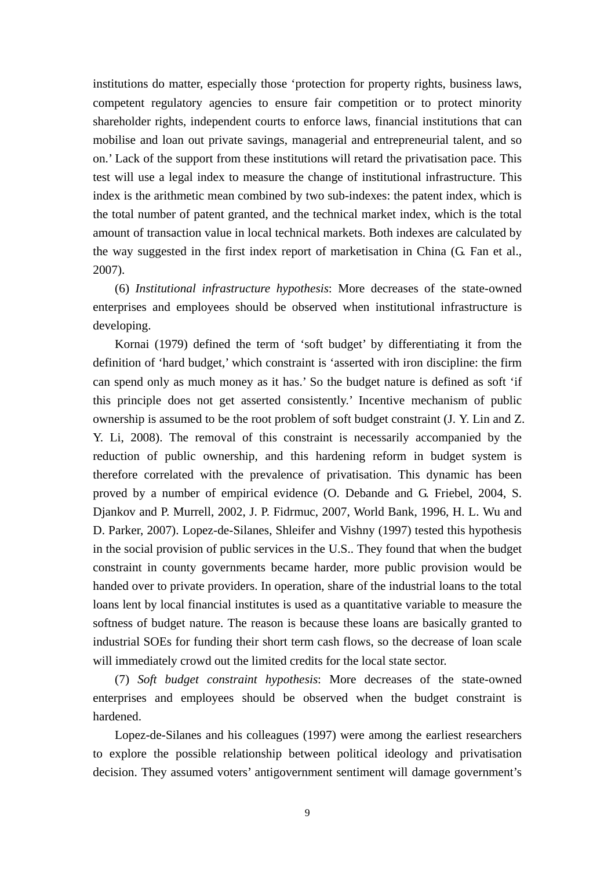institutions do matter, especially those 'protection for property rights, business laws, competent regulatory agencies to ensure fair competition or to protect minority shareholder rights, independent courts to enforce laws, financial institutions that can mobilise and loan out private savings, managerial and entrepreneurial talent, and so on.' Lack of the support from these institutions will retard the privatisation pace. This test will use a legal index to measure the change of institutional infrastructure. This index is the arithmetic mean combined by two sub-indexes: the patent index, which is the total number of patent granted, and the technical market index, which is the total amount of transaction value in local technical markets. Both indexes are calculated by the way suggested in the first index report of marketisation in China (G. Fan et al., 2007).

(6) *Institutional infrastructure hypothesis*: More decreases of the state-owned enterprises and employees should be observed when institutional infrastructure is developing.

Kornai (1979) defined the term of 'soft budget' by differentiating it from the definition of 'hard budget,' which constraint is 'asserted with iron discipline: the firm can spend only as much money as it has.' So the budget nature is defined as soft 'if this principle does not get asserted consistently.' Incentive mechanism of public ownership is assumed to be the root problem of soft budget constraint (J. Y. Lin and Z. Y. Li, 2008). The removal of this constraint is necessarily accompanied by the reduction of public ownership, and this hardening reform in budget system is therefore correlated with the prevalence of privatisation. This dynamic has been proved by a number of empirical evidence (O. Debande and G. Friebel, 2004, S. Djankov and P. Murrell, 2002, J. P. Fidrmuc, 2007, World Bank, 1996, H. L. Wu and D. Parker, 2007). Lopez-de-Silanes, Shleifer and Vishny (1997) tested this hypothesis in the social provision of public services in the U.S.. They found that when the budget constraint in county governments became harder, more public provision would be handed over to private providers. In operation, share of the industrial loans to the total loans lent by local financial institutes is used as a quantitative variable to measure the softness of budget nature. The reason is because these loans are basically granted to industrial SOEs for funding their short term cash flows, so the decrease of loan scale will immediately crowd out the limited credits for the local state sector.

(7) *Soft budget constraint hypothesis*: More decreases of the state-owned enterprises and employees should be observed when the budget constraint is hardened.

Lopez-de-Silanes and his colleagues (1997) were among the earliest researchers to explore the possible relationship between political ideology and privatisation decision. They assumed voters' antigovernment sentiment will damage government's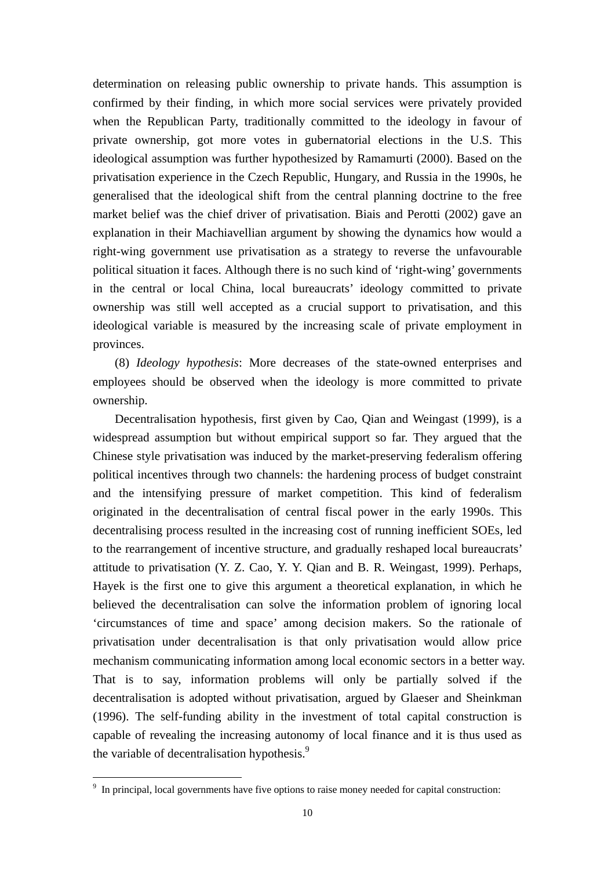determination on releasing public ownership to private hands. This assumption is confirmed by their finding, in which more social services were privately provided when the Republican Party, traditionally committed to the ideology in favour of private ownership, got more votes in gubernatorial elections in the U.S. This ideological assumption was further hypothesized by Ramamurti (2000). Based on the privatisation experience in the Czech Republic, Hungary, and Russia in the 1990s, he generalised that the ideological shift from the central planning doctrine to the free market belief was the chief driver of privatisation. Biais and Perotti (2002) gave an explanation in their Machiavellian argument by showing the dynamics how would a right-wing government use privatisation as a strategy to reverse the unfavourable political situation it faces. Although there is no such kind of 'right-wing' governments in the central or local China, local bureaucrats' ideology committed to private ownership was still well accepted as a crucial support to privatisation, and this ideological variable is measured by the increasing scale of private employment in provinces.

(8) *Ideology hypothesis*: More decreases of the state-owned enterprises and employees should be observed when the ideology is more committed to private ownership.

Decentralisation hypothesis, first given by Cao, Qian and Weingast (1999), is a widespread assumption but without empirical support so far. They argued that the Chinese style privatisation was induced by the market-preserving federalism offering political incentives through two channels: the hardening process of budget constraint and the intensifying pressure of market competition. This kind of federalism originated in the decentralisation of central fiscal power in the early 1990s. This decentralising process resulted in the increasing cost of running inefficient SOEs, led to the rearrangement of incentive structure, and gradually reshaped local bureaucrats' attitude to privatisation (Y. Z. Cao, Y. Y. Qian and B. R. Weingast, 1999). Perhaps, Hayek is the first one to give this argument a theoretical explanation, in which he believed the decentralisation can solve the information problem of ignoring local 'circumstances of time and space' among decision makers. So the rationale of privatisation under decentralisation is that only privatisation would allow price mechanism communicating information among local economic sectors in a better way. That is to say, information problems will only be partially solved if the decentralisation is adopted without privatisation, argued by Glaeser and Sheinkman (1996). The self-funding ability in the investment of total capital construction is capable of revealing the increasing autonomy of local finance and it is thus used as the variable of decentralisation hypothesis.<sup>9</sup>

<sup>&</sup>lt;sup>9</sup> In principal, local governments have five options to raise money needed for capital construction: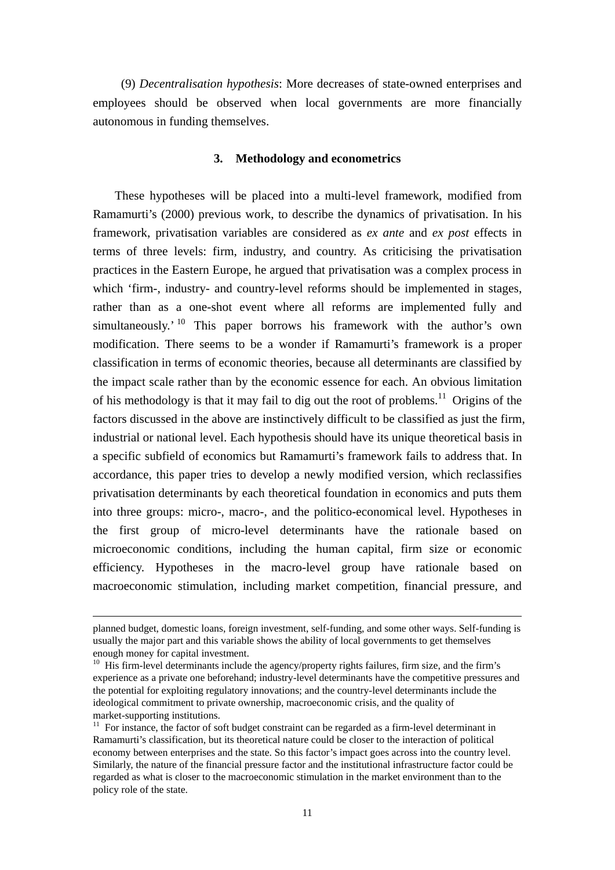(9) *Decentralisation hypothesis*: More decreases of state-owned enterprises and employees should be observed when local governments are more financially autonomous in funding themselves.

#### **3. Methodology and econometrics**

These hypotheses will be placed into a multi-level framework, modified from Ramamurti's (2000) previous work, to describe the dynamics of privatisation. In his framework, privatisation variables are considered as *ex ante* and *ex post* effects in terms of three levels: firm, industry, and country. As criticising the privatisation practices in the Eastern Europe, he argued that privatisation was a complex process in which 'firm-, industry- and country-level reforms should be implemented in stages, rather than as a one-shot event where all reforms are implemented fully and simultaneously.<sup>' 10</sup> This paper borrows his framework with the author's own modification. There seems to be a wonder if Ramamurti's framework is a proper classification in terms of economic theories, because all determinants are classified by the impact scale rather than by the economic essence for each. An obvious limitation of his methodology is that it may fail to dig out the root of problems.<sup>11</sup> Origins of the factors discussed in the above are instinctively difficult to be classified as just the firm, industrial or national level. Each hypothesis should have its unique theoretical basis in a specific subfield of economics but Ramamurti's framework fails to address that. In accordance, this paper tries to develop a newly modified version, which reclassifies privatisation determinants by each theoretical foundation in economics and puts them into three groups: micro-, macro-, and the politico-economical level. Hypotheses in the first group of micro-level determinants have the rationale based on microeconomic conditions, including the human capital, firm size or economic efficiency. Hypotheses in the macro-level group have rationale based on macroeconomic stimulation, including market competition, financial pressure, and

planned budget, domestic loans, foreign investment, self-funding, and some other ways. Self-funding is usually the major part and this variable shows the ability of local governments to get themselves enough money for capital investment.

<sup>&</sup>lt;sup>10</sup> His firm-level determinants include the agency/property rights failures, firm size, and the firm's experience as a private one beforehand; industry-level determinants have the competitive pressures and the potential for exploiting regulatory innovations; and the country-level determinants include the ideological commitment to private ownership, macroeconomic crisis, and the quality of market-supporting institutions.

 $11$  For instance, the factor of soft budget constraint can be regarded as a firm-level determinant in Ramamurti's classification, but its theoretical nature could be closer to the interaction of political economy between enterprises and the state. So this factor's impact goes across into the country level. Similarly, the nature of the financial pressure factor and the institutional infrastructure factor could be regarded as what is closer to the macroeconomic stimulation in the market environment than to the policy role of the state.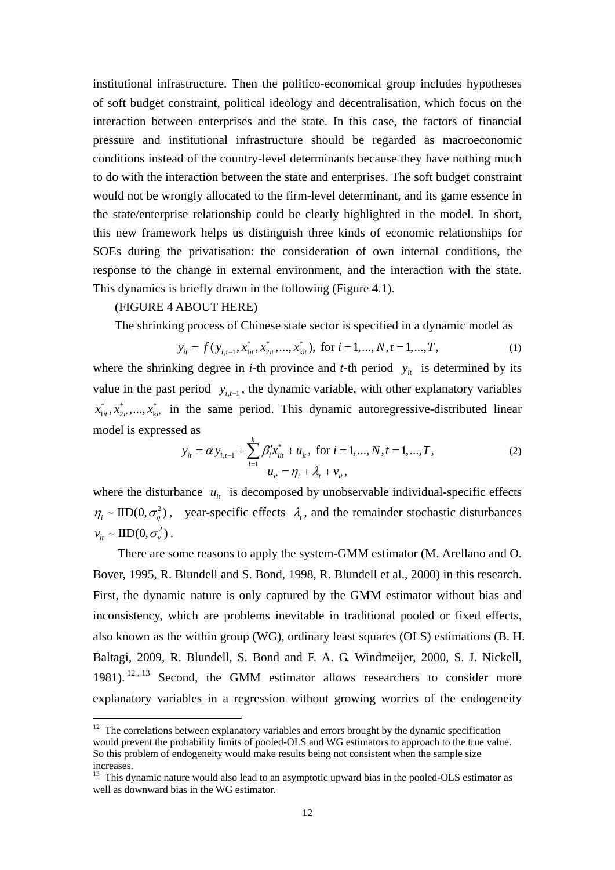institutional infrastructure. Then the politico-economical group includes hypotheses of soft budget constraint, political ideology and decentralisation, which focus on the interaction between enterprises and the state. In this case, the factors of financial pressure and institutional infrastructure should be regarded as macroeconomic conditions instead of the country-level determinants because they have nothing much to do with the interaction between the state and enterprises. The soft budget constraint would not be wrongly allocated to the firm-level determinant, and its game essence in the state/enterprise relationship could be clearly highlighted in the model. In short, this new framework helps us distinguish three kinds of economic relationships for SOEs during the privatisation: the consideration of own internal conditions, the response to the change in external environment, and the interaction with the state. This dynamics is briefly drawn in the following (Figure 4.1).

## (FIGURE 4 ABOUT HERE)

1

The shrinking process of Chinese state sector is specified in a dynamic model as

$$
y_{it} = f(y_{i,t-1}, x_{1it}^*, x_{2it}^*, ..., x_{kit}^*), \text{ for } i = 1,..., N, t = 1,..., T,
$$
 (1)

where the shrinking degree in *i*-th province and *t*-th period  $y_i$  is determined by its value in the past period  $y_{i,t-1}$ , the dynamic variable, with other explanatory variables  $x_{1i}^*, x_{2i}^*,..., x_{ki}^*$  in the same period. This dynamic autoregressive-distributed linear model is expressed as

$$
y_{it} = \alpha y_{i,t-1} + \sum_{l=1}^{k} \beta_l' x_{lit}^* + u_{it}, \text{ for } i = 1,..., N, t = 1,..., T,
$$
  

$$
u_{it} = \eta_i + \lambda_t + v_{it},
$$
 (2)

where the disturbance  $u_{i}$  is decomposed by unobservable individual-specific effects  $\eta_i \sim \text{IID}(0, \sigma_n^2)$ , year-specific effects  $\lambda_i$ , and the remainder stochastic disturbances  $v_{it} \sim \text{IID}(0, \sigma_v^2)$ .

There are some reasons to apply the system-GMM estimator (M. Arellano and O. Bover, 1995, R. Blundell and S. Bond, 1998, R. Blundell et al., 2000) in this research. First, the dynamic nature is only captured by the GMM estimator without bias and inconsistency, which are problems inevitable in traditional pooled or fixed effects, also known as the within group (WG), ordinary least squares (OLS) estimations (B. H. Baltagi, 2009, R. Blundell, S. Bond and F. A. G. Windmeijer, 2000, S. J. Nickell, 1981).  $12, 13$  Second, the GMM estimator allows researchers to consider more explanatory variables in a regression without growing worries of the endogeneity

 $12$  The correlations between explanatory variables and errors brought by the dynamic specification would prevent the probability limits of pooled-OLS and WG estimators to approach to the true value. So this problem of endogeneity would make results being not consistent when the sample size increases.

<sup>&</sup>lt;sup>13</sup> This dynamic nature would also lead to an asymptotic upward bias in the pooled-OLS estimator as well as downward bias in the WG estimator.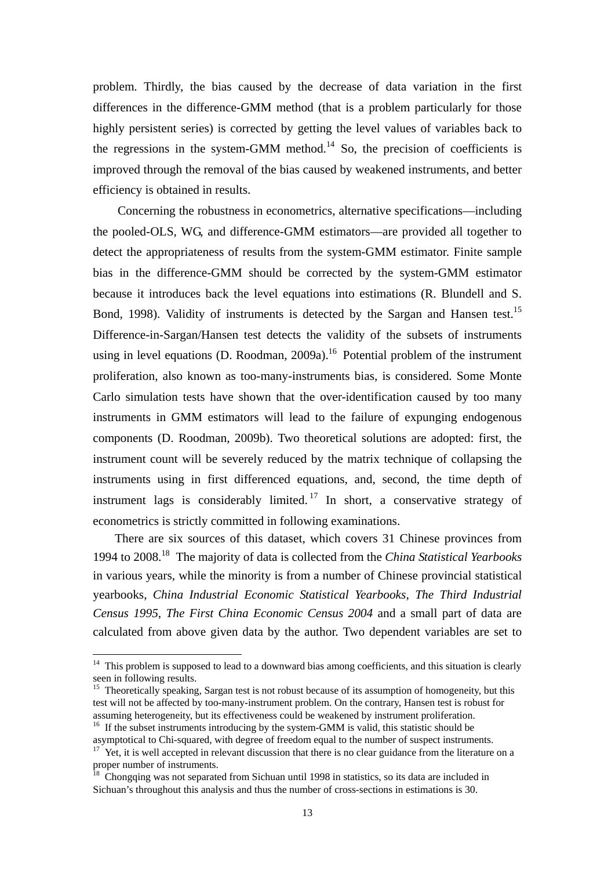problem. Thirdly, the bias caused by the decrease of data variation in the first differences in the difference-GMM method (that is a problem particularly for those highly persistent series) is corrected by getting the level values of variables back to the regressions in the system-GMM method.<sup>14</sup> So, the precision of coefficients is improved through the removal of the bias caused by weakened instruments, and better efficiency is obtained in results.

Concerning the robustness in econometrics, alternative specifications—including the pooled-OLS, WG, and difference-GMM estimators—are provided all together to detect the appropriateness of results from the system-GMM estimator. Finite sample bias in the difference-GMM should be corrected by the system-GMM estimator because it introduces back the level equations into estimations (R. Blundell and S. Bond, 1998). Validity of instruments is detected by the Sargan and Hansen test.<sup>15</sup> Difference-in-Sargan/Hansen test detects the validity of the subsets of instruments using in level equations (D. Roodman, 2009a).<sup>16</sup> Potential problem of the instrument proliferation, also known as too-many-instruments bias, is considered. Some Monte Carlo simulation tests have shown that the over-identification caused by too many instruments in GMM estimators will lead to the failure of expunging endogenous components (D. Roodman, 2009b). Two theoretical solutions are adopted: first, the instrument count will be severely reduced by the matrix technique of collapsing the instruments using in first differenced equations, and, second, the time depth of instrument lags is considerably limited.<sup>17</sup> In short, a conservative strategy of econometrics is strictly committed in following examinations.

There are six sources of this dataset, which covers 31 Chinese provinces from 1994 to 2008.18 The majority of data is collected from the *China Statistical Yearbooks* in various years, while the minority is from a number of Chinese provincial statistical yearbooks, *China Industrial Economic Statistical Yearbooks*, *The Third Industrial Census 1995*, *The First China Economic Census 2004* and a small part of data are calculated from above given data by the author. Two dependent variables are set to

<u>.</u>

 $14$  This problem is supposed to lead to a downward bias among coefficients, and this situation is clearly seen in following results.

<sup>&</sup>lt;sup>15</sup> Theoretically speaking, Sargan test is not robust because of its assumption of homogeneity, but this test will not be affected by too-many-instrument problem. On the contrary, Hansen test is robust for assuming heterogeneity, but its effectiveness could be weakened by instrument proliferation. <sup>16</sup> If the subset instruments introducing by the system-GMM is valid, this statistic should be

asymptotical to Chi-squared, with degree of freedom equal to the number of suspect instruments.

<sup>&</sup>lt;sup>17</sup> Yet, it is well accepted in relevant discussion that there is no clear guidance from the literature on a proper number of instruments.

<sup>&</sup>lt;sup>18</sup> Chongqing was not separated from Sichuan until 1998 in statistics, so its data are included in Sichuan's throughout this analysis and thus the number of cross-sections in estimations is 30.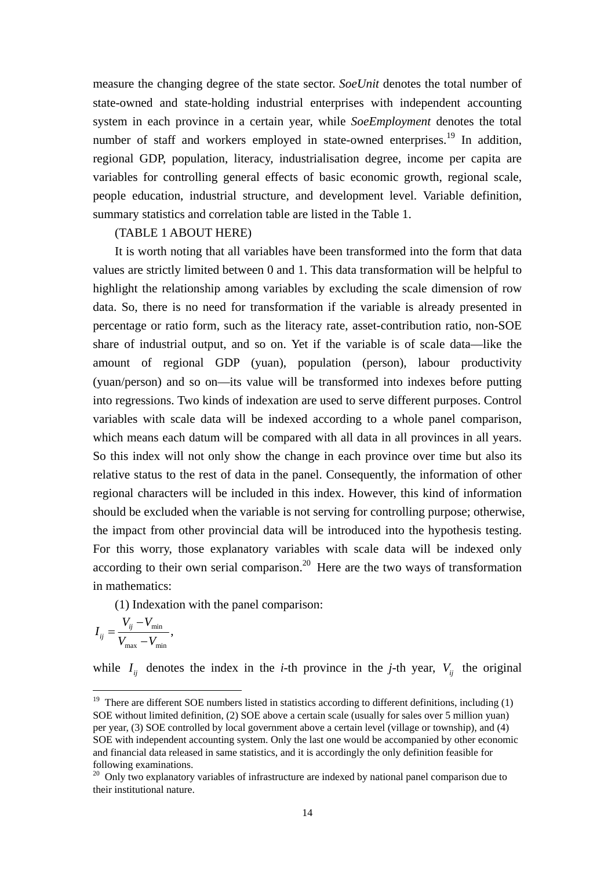measure the changing degree of the state sector. *SoeUnit* denotes the total number of state-owned and state-holding industrial enterprises with independent accounting system in each province in a certain year, while *SoeEmployment* denotes the total number of staff and workers employed in state-owned enterprises.<sup>19</sup> In addition, regional GDP, population, literacy, industrialisation degree, income per capita are variables for controlling general effects of basic economic growth, regional scale, people education, industrial structure, and development level. Variable definition, summary statistics and correlation table are listed in the Table 1.

# (TABLE 1 ABOUT HERE)

It is worth noting that all variables have been transformed into the form that data values are strictly limited between 0 and 1. This data transformation will be helpful to highlight the relationship among variables by excluding the scale dimension of row data. So, there is no need for transformation if the variable is already presented in percentage or ratio form, such as the literacy rate, asset-contribution ratio, non-SOE share of industrial output, and so on. Yet if the variable is of scale data—like the amount of regional GDP (yuan), population (person), labour productivity (yuan/person) and so on—its value will be transformed into indexes before putting into regressions. Two kinds of indexation are used to serve different purposes. Control variables with scale data will be indexed according to a whole panel comparison, which means each datum will be compared with all data in all provinces in all years. So this index will not only show the change in each province over time but also its relative status to the rest of data in the panel. Consequently, the information of other regional characters will be included in this index. However, this kind of information should be excluded when the variable is not serving for controlling purpose; otherwise, the impact from other provincial data will be introduced into the hypothesis testing. For this worry, those explanatory variables with scale data will be indexed only according to their own serial comparison.<sup>20</sup> Here are the two ways of transformation in mathematics:

(1) Indexation with the panel comparison:

$$
I_{ij} = \frac{V_{ij} - V_{\min}}{V_{\max} - V_{\min}},
$$

1

while  $I_{ij}$  denotes the index in the *i*-th province in the *j*-th year,  $V_{ij}$  the original

<sup>&</sup>lt;sup>19</sup> There are different SOE numbers listed in statistics according to different definitions, including (1) SOE without limited definition, (2) SOE above a certain scale (usually for sales over 5 million yuan) per year, (3) SOE controlled by local government above a certain level (village or township), and (4) SOE with independent accounting system. Only the last one would be accompanied by other economic and financial data released in same statistics, and it is accordingly the only definition feasible for following examinations.

<sup>&</sup>lt;sup>20</sup> Only two explanatory variables of infrastructure are indexed by national panel comparison due to their institutional nature.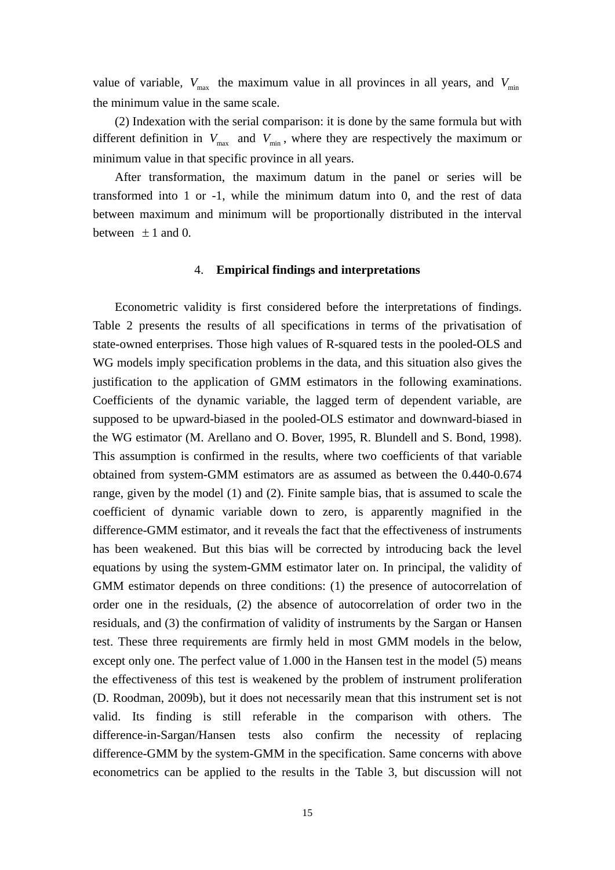value of variable,  $V_{\text{max}}$  the maximum value in all provinces in all years, and  $V_{\text{min}}$ the minimum value in the same scale.

(2) Indexation with the serial comparison: it is done by the same formula but with different definition in  $V_{\text{max}}$  and  $V_{\text{min}}$ , where they are respectively the maximum or minimum value in that specific province in all years.

After transformation, the maximum datum in the panel or series will be transformed into 1 or -1, while the minimum datum into 0, and the rest of data between maximum and minimum will be proportionally distributed in the interval between  $\pm 1$  and 0.

## 4. **Empirical findings and interpretations**

Econometric validity is first considered before the interpretations of findings. Table 2 presents the results of all specifications in terms of the privatisation of state-owned enterprises. Those high values of R-squared tests in the pooled-OLS and WG models imply specification problems in the data, and this situation also gives the justification to the application of GMM estimators in the following examinations. Coefficients of the dynamic variable, the lagged term of dependent variable, are supposed to be upward-biased in the pooled-OLS estimator and downward-biased in the WG estimator (M. Arellano and O. Bover, 1995, R. Blundell and S. Bond, 1998). This assumption is confirmed in the results, where two coefficients of that variable obtained from system-GMM estimators are as assumed as between the 0.440-0.674 range, given by the model (1) and (2). Finite sample bias, that is assumed to scale the coefficient of dynamic variable down to zero, is apparently magnified in the difference-GMM estimator, and it reveals the fact that the effectiveness of instruments has been weakened. But this bias will be corrected by introducing back the level equations by using the system-GMM estimator later on. In principal, the validity of GMM estimator depends on three conditions: (1) the presence of autocorrelation of order one in the residuals, (2) the absence of autocorrelation of order two in the residuals, and (3) the confirmation of validity of instruments by the Sargan or Hansen test. These three requirements are firmly held in most GMM models in the below, except only one. The perfect value of 1.000 in the Hansen test in the model (5) means the effectiveness of this test is weakened by the problem of instrument proliferation (D. Roodman, 2009b), but it does not necessarily mean that this instrument set is not valid. Its finding is still referable in the comparison with others. The difference-in-Sargan/Hansen tests also confirm the necessity of replacing difference-GMM by the system-GMM in the specification. Same concerns with above econometrics can be applied to the results in the Table 3, but discussion will not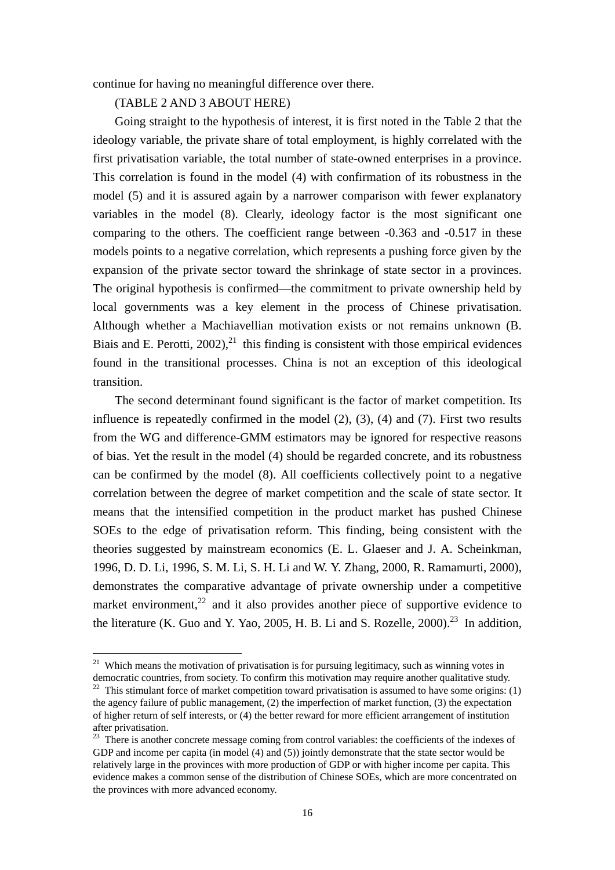continue for having no meaningful difference over there.

(TABLE 2 AND 3 ABOUT HERE)

Going straight to the hypothesis of interest, it is first noted in the Table 2 that the ideology variable, the private share of total employment, is highly correlated with the first privatisation variable, the total number of state-owned enterprises in a province. This correlation is found in the model (4) with confirmation of its robustness in the model (5) and it is assured again by a narrower comparison with fewer explanatory variables in the model (8). Clearly, ideology factor is the most significant one comparing to the others. The coefficient range between -0.363 and -0.517 in these models points to a negative correlation, which represents a pushing force given by the expansion of the private sector toward the shrinkage of state sector in a provinces. The original hypothesis is confirmed—the commitment to private ownership held by local governments was a key element in the process of Chinese privatisation. Although whether a Machiavellian motivation exists or not remains unknown (B. Biais and E. Perotti,  $2002$ ),<sup>21</sup> this finding is consistent with those empirical evidences found in the transitional processes. China is not an exception of this ideological transition.

The second determinant found significant is the factor of market competition. Its influence is repeatedly confirmed in the model (2), (3), (4) and (7). First two results from the WG and difference-GMM estimators may be ignored for respective reasons of bias. Yet the result in the model (4) should be regarded concrete, and its robustness can be confirmed by the model (8). All coefficients collectively point to a negative correlation between the degree of market competition and the scale of state sector. It means that the intensified competition in the product market has pushed Chinese SOEs to the edge of privatisation reform. This finding, being consistent with the theories suggested by mainstream economics (E. L. Glaeser and J. A. Scheinkman, 1996, D. D. Li, 1996, S. M. Li, S. H. Li and W. Y. Zhang, 2000, R. Ramamurti, 2000), demonstrates the comparative advantage of private ownership under a competitive market environment, $^{22}$  and it also provides another piece of supportive evidence to the literature (K. Guo and Y. Yao, 2005, H. B. Li and S. Rozelle,  $2000$ ).<sup>23</sup> In addition,

 $21$  Which means the motivation of privatisation is for pursuing legitimacy, such as winning votes in democratic countries, from society. To confirm this motivation may require another qualitative study.

 $22$  This stimulant force of market competition toward privatisation is assumed to have some origins: (1) the agency failure of public management, (2) the imperfection of market function, (3) the expectation of higher return of self interests, or (4) the better reward for more efficient arrangement of institution after privatisation.

<sup>&</sup>lt;sup>23</sup> There is another concrete message coming from control variables: the coefficients of the indexes of GDP and income per capita (in model (4) and (5)) jointly demonstrate that the state sector would be relatively large in the provinces with more production of GDP or with higher income per capita. This evidence makes a common sense of the distribution of Chinese SOEs, which are more concentrated on the provinces with more advanced economy.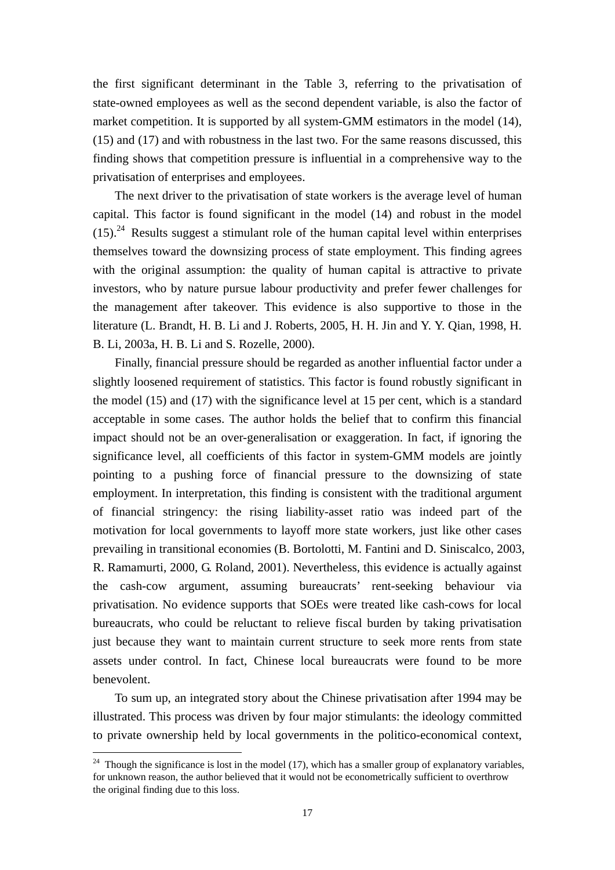the first significant determinant in the Table 3, referring to the privatisation of state-owned employees as well as the second dependent variable, is also the factor of market competition. It is supported by all system-GMM estimators in the model (14), (15) and (17) and with robustness in the last two. For the same reasons discussed, this finding shows that competition pressure is influential in a comprehensive way to the privatisation of enterprises and employees.

The next driver to the privatisation of state workers is the average level of human capital. This factor is found significant in the model (14) and robust in the model  $(15).<sup>24</sup>$  Results suggest a stimulant role of the human capital level within enterprises themselves toward the downsizing process of state employment. This finding agrees with the original assumption: the quality of human capital is attractive to private investors, who by nature pursue labour productivity and prefer fewer challenges for the management after takeover. This evidence is also supportive to those in the literature (L. Brandt, H. B. Li and J. Roberts, 2005, H. H. Jin and Y. Y. Qian, 1998, H. B. Li, 2003a, H. B. Li and S. Rozelle, 2000).

Finally, financial pressure should be regarded as another influential factor under a slightly loosened requirement of statistics. This factor is found robustly significant in the model (15) and (17) with the significance level at 15 per cent, which is a standard acceptable in some cases. The author holds the belief that to confirm this financial impact should not be an over-generalisation or exaggeration. In fact, if ignoring the significance level, all coefficients of this factor in system-GMM models are jointly pointing to a pushing force of financial pressure to the downsizing of state employment. In interpretation, this finding is consistent with the traditional argument of financial stringency: the rising liability-asset ratio was indeed part of the motivation for local governments to layoff more state workers, just like other cases prevailing in transitional economies (B. Bortolotti, M. Fantini and D. Siniscalco, 2003, R. Ramamurti, 2000, G. Roland, 2001). Nevertheless, this evidence is actually against the cash-cow argument, assuming bureaucrats' rent-seeking behaviour via privatisation. No evidence supports that SOEs were treated like cash-cows for local bureaucrats, who could be reluctant to relieve fiscal burden by taking privatisation just because they want to maintain current structure to seek more rents from state assets under control. In fact, Chinese local bureaucrats were found to be more benevolent.

To sum up, an integrated story about the Chinese privatisation after 1994 may be illustrated. This process was driven by four major stimulants: the ideology committed to private ownership held by local governments in the politico-economical context,

 $24$  Though the significance is lost in the model (17), which has a smaller group of explanatory variables, for unknown reason, the author believed that it would not be econometrically sufficient to overthrow the original finding due to this loss.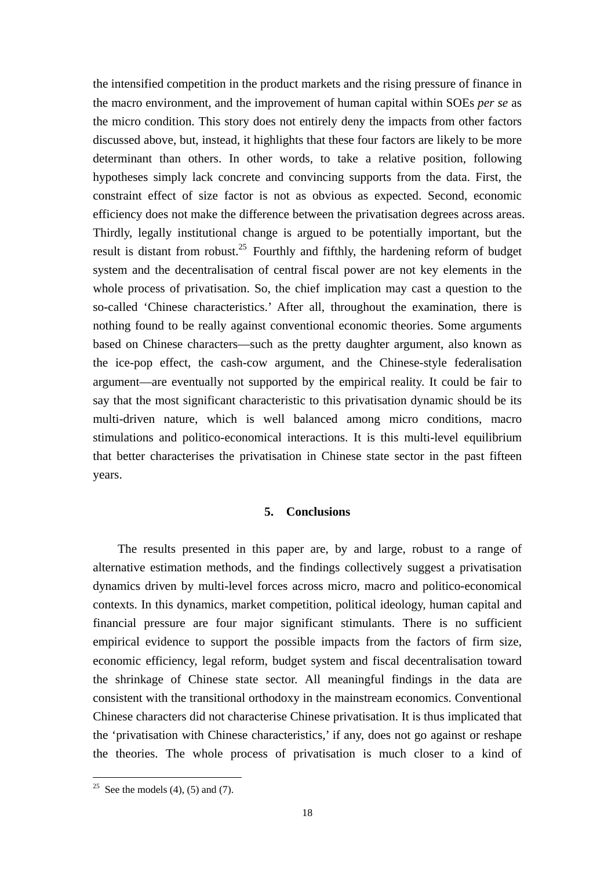the intensified competition in the product markets and the rising pressure of finance in the macro environment, and the improvement of human capital within SOEs *per se* as the micro condition. This story does not entirely deny the impacts from other factors discussed above, but, instead, it highlights that these four factors are likely to be more determinant than others. In other words, to take a relative position, following hypotheses simply lack concrete and convincing supports from the data. First, the constraint effect of size factor is not as obvious as expected. Second, economic efficiency does not make the difference between the privatisation degrees across areas. Thirdly, legally institutional change is argued to be potentially important, but the result is distant from robust.<sup>25</sup> Fourthly and fifthly, the hardening reform of budget system and the decentralisation of central fiscal power are not key elements in the whole process of privatisation. So, the chief implication may cast a question to the so-called 'Chinese characteristics.' After all, throughout the examination, there is nothing found to be really against conventional economic theories. Some arguments based on Chinese characters—such as the pretty daughter argument, also known as the ice-pop effect, the cash-cow argument, and the Chinese-style federalisation argument—are eventually not supported by the empirical reality. It could be fair to say that the most significant characteristic to this privatisation dynamic should be its multi-driven nature, which is well balanced among micro conditions, macro stimulations and politico-economical interactions. It is this multi-level equilibrium that better characterises the privatisation in Chinese state sector in the past fifteen years.

# **5. Conclusions**

The results presented in this paper are, by and large, robust to a range of alternative estimation methods, and the findings collectively suggest a privatisation dynamics driven by multi-level forces across micro, macro and politico-economical contexts. In this dynamics, market competition, political ideology, human capital and financial pressure are four major significant stimulants. There is no sufficient empirical evidence to support the possible impacts from the factors of firm size, economic efficiency, legal reform, budget system and fiscal decentralisation toward the shrinkage of Chinese state sector. All meaningful findings in the data are consistent with the transitional orthodoxy in the mainstream economics. Conventional Chinese characters did not characterise Chinese privatisation. It is thus implicated that the 'privatisation with Chinese characteristics,' if any, does not go against or reshape the theories. The whole process of privatisation is much closer to a kind of

<sup>&</sup>lt;sup>25</sup> See the models  $(4)$ ,  $(5)$  and  $(7)$ .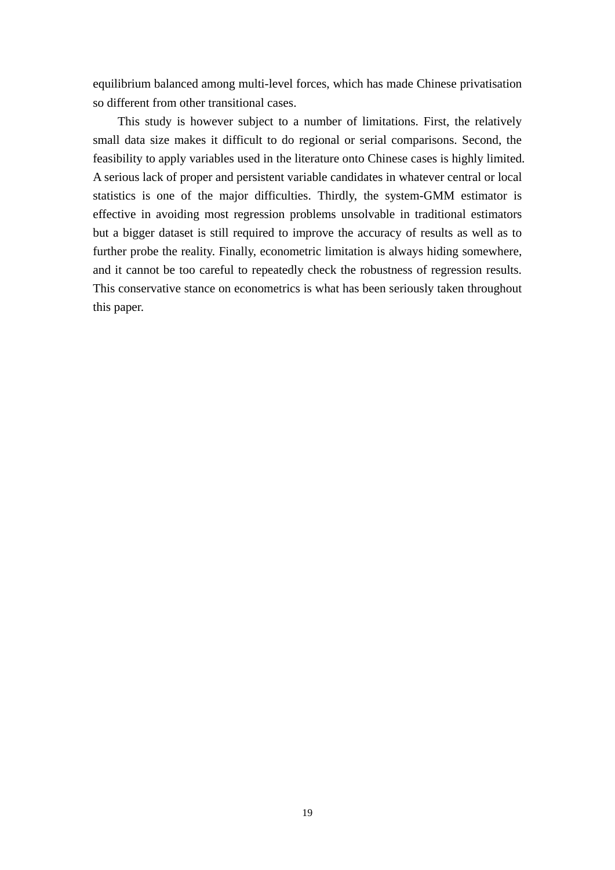equilibrium balanced among multi-level forces, which has made Chinese privatisation so different from other transitional cases.

This study is however subject to a number of limitations. First, the relatively small data size makes it difficult to do regional or serial comparisons. Second, the feasibility to apply variables used in the literature onto Chinese cases is highly limited. A serious lack of proper and persistent variable candidates in whatever central or local statistics is one of the major difficulties. Thirdly, the system-GMM estimator is effective in avoiding most regression problems unsolvable in traditional estimators but a bigger dataset is still required to improve the accuracy of results as well as to further probe the reality. Finally, econometric limitation is always hiding somewhere, and it cannot be too careful to repeatedly check the robustness of regression results. This conservative stance on econometrics is what has been seriously taken throughout this paper.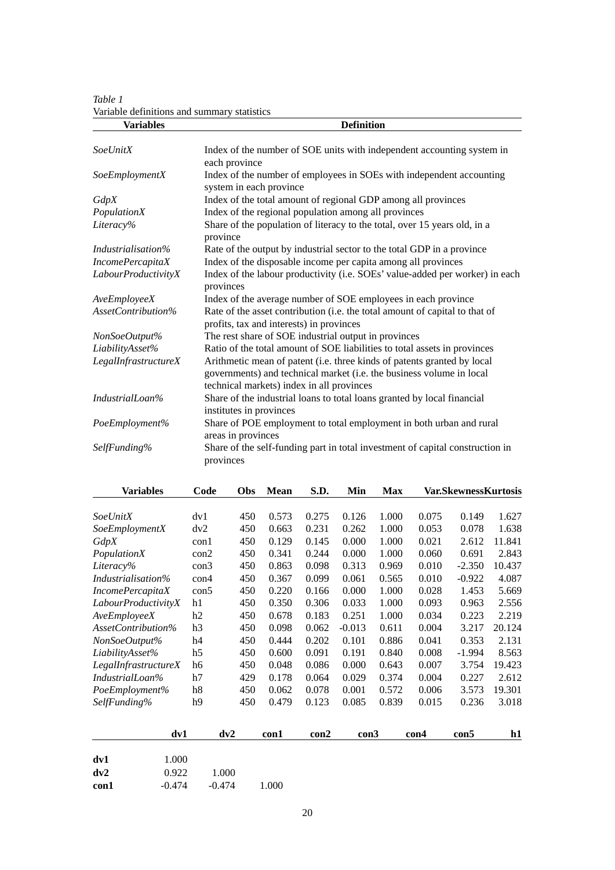*Table 1*  Variable definitions and summary statistics

| <b>Variables</b>        | <b>Definition</b>                                                                                                                                                                            |  |  |  |  |  |
|-------------------------|----------------------------------------------------------------------------------------------------------------------------------------------------------------------------------------------|--|--|--|--|--|
| <b>SoeUnitX</b>         | Index of the number of SOE units with independent accounting system in<br>each province                                                                                                      |  |  |  |  |  |
| <b>SoeEmploymentX</b>   | Index of the number of employees in SOEs with independent accounting<br>system in each province                                                                                              |  |  |  |  |  |
| GdpX                    | Index of the total amount of regional GDP among all provinces                                                                                                                                |  |  |  |  |  |
| PopulationX             | Index of the regional population among all provinces                                                                                                                                         |  |  |  |  |  |
| Literacy%               | Share of the population of literacy to the total, over 15 years old, in a<br>province                                                                                                        |  |  |  |  |  |
| Industrialisation%      | Rate of the output by industrial sector to the total GDP in a province                                                                                                                       |  |  |  |  |  |
| <b>IncomePercapitaX</b> | Index of the disposable income per capita among all provinces                                                                                                                                |  |  |  |  |  |
| LabourProductivityX     | Index of the labour productivity (i.e. SOEs' value-added per worker) in each<br>provinces                                                                                                    |  |  |  |  |  |
| AveEmployeeX            | Index of the average number of SOE employees in each province                                                                                                                                |  |  |  |  |  |
| AssetContribution%      | Rate of the asset contribution (i.e. the total amount of capital to that of<br>profits, tax and interests) in provinces                                                                      |  |  |  |  |  |
| NonSoeOutput%           | The rest share of SOE industrial output in provinces                                                                                                                                         |  |  |  |  |  |
| LiabilityAsset%         | Ratio of the total amount of SOE liabilities to total assets in provinces                                                                                                                    |  |  |  |  |  |
| LegalInfrastructureX    | Arithmetic mean of patent (i.e. three kinds of patents granted by local<br>governments) and technical market (i.e. the business volume in local<br>technical markets) index in all provinces |  |  |  |  |  |
| IndustrialLoan%         | Share of the industrial loans to total loans granted by local financial<br>institutes in provinces                                                                                           |  |  |  |  |  |
| PoeEmployment%          | Share of POE employment to total employment in both urban and rural<br>areas in provinces                                                                                                    |  |  |  |  |  |
| SelfFunding%            | Share of the self-funding part in total investment of capital construction in<br>provinces                                                                                                   |  |  |  |  |  |

| Variables                  | Code            | Obs | <b>Mean</b> | S.D.  | Min      | <b>Max</b> |                 |          |        | Var.SkewnessKurtosis |  |
|----------------------------|-----------------|-----|-------------|-------|----------|------------|-----------------|----------|--------|----------------------|--|
|                            |                 |     |             |       |          |            |                 |          |        |                      |  |
| <i>SoeUnitX</i>            | dv1             | 450 | 0.573       | 0.275 | 0.126    | 1.000      | 0.075           | 0.149    | 1.627  |                      |  |
| <i>SoeEmploymentX</i>      | dv2             | 450 | 0.663       | 0.231 | 0.262    | 1.000      | 0.053           | 0.078    | 1.638  |                      |  |
| GdpX                       | $\text{con}1$   | 450 | 0.129       | 0.145 | 0.000    | 1.000      | 0.021           | 2.612    | 11.841 |                      |  |
| PopulationX                | con2            | 450 | 0.341       | 0.244 | 0.000    | 1.000      | 0.060           | 0.691    | 2.843  |                      |  |
| Literacy%                  | $\cos 3$        | 450 | 0.863       | 0.098 | 0.313    | 0.969      | 0.010           | $-2.350$ | 10.437 |                      |  |
| Industrialisation%         | $\mathrm{con}4$ | 450 | 0.367       | 0.099 | 0.061    | 0.565      | 0.010           | $-0.922$ | 4.087  |                      |  |
| <i>IncomePercapitaX</i>    | $\cos 5$        | 450 | 0.220       | 0.166 | 0.000    | 1.000      | 0.028           | 1.453    | 5.669  |                      |  |
| <i>LabourProductivityX</i> | h1              | 450 | 0.350       | 0.306 | 0.033    | 1.000      | 0.093           | 0.963    | 2.556  |                      |  |
| AveEmployeeX               | h2              | 450 | 0.678       | 0.183 | 0.251    | 1.000      | 0.034           | 0.223    | 2.219  |                      |  |
| AssetContribution%         | h3              | 450 | 0.098       | 0.062 | $-0.013$ | 0.611      | 0.004           | 3.217    | 20.124 |                      |  |
| $NonSoeOutput\%$           | h4              | 450 | 0.444       | 0.202 | 0.101    | 0.886      | 0.041           | 0.353    | 2.131  |                      |  |
| LiabilityAsset%            | h5              | 450 | 0.600       | 0.091 | 0.191    | 0.840      | 0.008           | $-1.994$ | 8.563  |                      |  |
| LegalInfrastructureX       | h6              | 450 | 0.048       | 0.086 | 0.000    | 0.643      | 0.007           | 3.754    | 19.423 |                      |  |
| IndustrialLoan%            | h7              | 429 | 0.178       | 0.064 | 0.029    | 0.374      | 0.004           | 0.227    | 2.612  |                      |  |
| PoeEmployment%             | h8              | 450 | 0.062       | 0.078 | 0.001    | 0.572      | 0.006           | 3.573    | 19.301 |                      |  |
| SelfFunding%               | h9              | 450 | 0.479       | 0.123 | 0.085    | 0.839      | 0.015           | 0.236    | 3.018  |                      |  |
| dv1                        |                 | dv2 | con1        | con2  | con3     |            | $\mathrm{con}4$ | con5     | h1     |                      |  |

|      | ---    | ---    | ----- | ----- | ----- | ----- |  |
|------|--------|--------|-------|-------|-------|-------|--|
|      |        |        |       |       |       |       |  |
| dv1  | 1.000  |        |       |       |       |       |  |
| dv2  | 0.922  | 1.000  |       |       |       |       |  |
| con1 | -0.474 | -0.474 | 1.000 |       |       |       |  |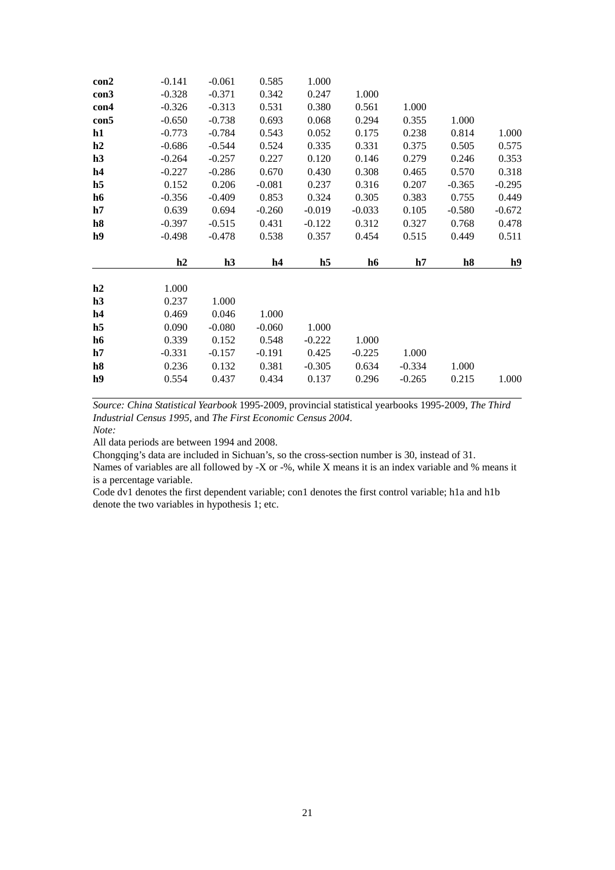| con2           | $-0.141$ | $-0.061$ | 0.585    | 1.000          |          |               |          |          |
|----------------|----------|----------|----------|----------------|----------|---------------|----------|----------|
| con3           | $-0.328$ | $-0.371$ | 0.342    | 0.247          | 1.000    |               |          |          |
| con4           | $-0.326$ | $-0.313$ | 0.531    | 0.380          | 0.561    | 1.000         |          |          |
| con5           | $-0.650$ | $-0.738$ | 0.693    | 0.068          | 0.294    | 0.355         | 1.000    |          |
| h1             | $-0.773$ | $-0.784$ | 0.543    | 0.052          | 0.175    | 0.238         | 0.814    | 1.000    |
| h2             | $-0.686$ | $-0.544$ | 0.524    | 0.335          | 0.331    | 0.375         | 0.505    | 0.575    |
| h3             | $-0.264$ | $-0.257$ | 0.227    | 0.120          | 0.146    | 0.279         | 0.246    | 0.353    |
| h4             | $-0.227$ | $-0.286$ | 0.670    | 0.430          | 0.308    | 0.465         | 0.570    | 0.318    |
| h <sub>5</sub> | 0.152    | 0.206    | $-0.081$ | 0.237          | 0.316    | 0.207         | $-0.365$ | $-0.295$ |
| h6             | $-0.356$ | $-0.409$ | 0.853    | 0.324          | 0.305    | 0.383         | 0.755    | 0.449    |
| h7             | 0.639    | 0.694    | $-0.260$ | $-0.019$       | $-0.033$ | 0.105         | $-0.580$ | $-0.672$ |
| h8             | $-0.397$ | $-0.515$ | 0.431    | $-0.122$       | 0.312    | 0.327         | 0.768    | 0.478    |
|                |          |          |          |                |          |               |          |          |
| h9             | $-0.498$ | $-0.478$ | 0.538    | 0.357          | 0.454    | 0.515         | 0.449    | 0.511    |
|                | h2       | h3       | h4       | h <sub>5</sub> | h6       | $\mathbf{h}7$ | h8       | h9       |
| h2             | 1.000    |          |          |                |          |               |          |          |
| h3             | 0.237    | 1.000    |          |                |          |               |          |          |
| h4             | 0.469    | 0.046    | 1.000    |                |          |               |          |          |
| h <sub>5</sub> | 0.090    | $-0.080$ | $-0.060$ | 1.000          |          |               |          |          |
| h6             | 0.339    | 0.152    | 0.548    | $-0.222$       | 1.000    |               |          |          |
| h7             | $-0.331$ | $-0.157$ | $-0.191$ | 0.425          | $-0.225$ | 1.000         |          |          |
| h8             | 0.236    | 0.132    | 0.381    | $-0.305$       | 0.634    | $-0.334$      | 1.000    |          |

*Source: China Statistical Yearbook* 1995-2009, provincial statistical yearbooks 1995-2009, *The Third Industrial Census 1995*, and *The First Economic Census 2004*.

*Note:* 

All data periods are between 1994 and 2008.

Chongqing's data are included in Sichuan's, so the cross-section number is 30, instead of 31.

Names of variables are all followed by -X or -%, while X means it is an index variable and % means it is a percentage variable.

Code dv1 denotes the first dependent variable; con1 denotes the first control variable; h1a and h1b denote the two variables in hypothesis 1; etc.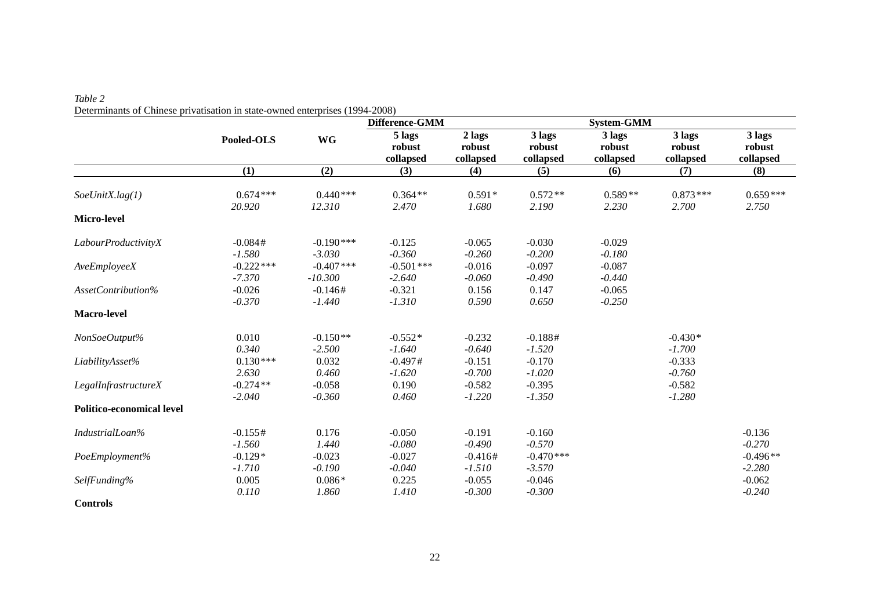| Determinants of Cliniese privatisation in state-owned enterprises (1994-2006) |                          |                           | Difference-GMM                |                               |                               | <b>System-GMM</b>             |                               |                               |
|-------------------------------------------------------------------------------|--------------------------|---------------------------|-------------------------------|-------------------------------|-------------------------------|-------------------------------|-------------------------------|-------------------------------|
|                                                                               | Pooled-OLS               | <b>WG</b>                 | 5 lags<br>robust<br>collapsed | 2 lags<br>robust<br>collapsed | 3 lags<br>robust<br>collapsed | 3 lags<br>robust<br>collapsed | 3 lags<br>robust<br>collapsed | 3 lags<br>robust<br>collapsed |
|                                                                               | (1)                      | (2)                       | (3)                           | (4)                           | (5)                           | (6)                           | (7)                           | (8)                           |
| SoeUnitX.lag(1)                                                               | $0.674***$<br>20.920     | $0.440***$<br>12.310      | $0.364**$<br>2.470            | $0.591*$<br>1.680             | $0.572**$<br>2.190            | $0.589**$<br>2.230            | $0.873***$<br>2.700           | $0.659***$<br>2.750           |
| Micro-level                                                                   |                          |                           |                               |                               |                               |                               |                               |                               |
| LabourProductivityX                                                           | $-0.084#$<br>$-1.580$    | $-0.190***$<br>$-3.030$   | $-0.125$<br>$-0.360$          | $-0.065$<br>$-0.260$          | $-0.030$<br>$-0.200$          | $-0.029$<br>$-0.180$          |                               |                               |
| AveEmployeeX                                                                  | $-0.222$ ***<br>$-7.370$ | $-0.407$ ***<br>$-10.300$ | $-0.501$ ***<br>$-2.640$      | $-0.016$<br>$-0.060$          | $-0.097$<br>$-0.490$          | $-0.087$<br>$-0.440$          |                               |                               |
| AssetContribution%                                                            | $-0.026$<br>$-0.370$     | $-0.146#$<br>$-1.440$     | $-0.321$<br>$-1.310$          | 0.156<br>0.590                | 0.147<br>0.650                | $-0.065$<br>$-0.250$          |                               |                               |
| Macro-level                                                                   |                          |                           |                               |                               |                               |                               |                               |                               |
| NonSoeOutput%                                                                 | 0.010<br>0.340           | $-0.150**$<br>$-2.500$    | $-0.552*$<br>$-1.640$         | $-0.232$<br>$-0.640$          | $-0.188#$<br>$-1.520$         |                               | $-0.430*$<br>$-1.700$         |                               |
| LiabilityAsset%                                                               | $0.130***$<br>2.630      | 0.032<br>0.460            | $-0.497#$<br>$-1.620$         | $-0.151$<br>$-0.700$          | $-0.170$<br>$-1.020$          |                               | $-0.333$<br>$-0.760$          |                               |
| LegalInfrastructureX                                                          | $-0.274**$<br>$-2.040$   | $-0.058$<br>$-0.360$      | 0.190<br>0.460                | $-0.582$<br>$-1.220$          | $-0.395$<br>$-1.350$          |                               | $-0.582$<br>$-1.280$          |                               |
| <b>Politico-economical level</b>                                              |                          |                           |                               |                               |                               |                               |                               |                               |
| IndustrialLoan%                                                               | $-0.155#$<br>$-1.560$    | 0.176<br>1.440            | $-0.050$<br>$-0.080$          | $-0.191$<br>$-0.490$          | $-0.160$<br>$-0.570$          |                               |                               | $-0.136$<br>$-0.270$          |
| PoeEmployment%                                                                | $-0.129*$<br>$-1.710$    | $-0.023$<br>$-0.190$      | $-0.027$<br>$-0.040$          | $-0.416#$<br>$-1.510$         | $-0.470***$<br>$-3.570$       |                               |                               | $-0.496**$<br>$-2.280$        |
| SelfFunding%                                                                  | 0.005<br>0.110           | $0.086*$<br>1.860         | 0.225<br>1.410                | $-0.055$<br>$-0.300$          | $-0.046$<br>$-0.300$          |                               |                               | $-0.062$<br>$-0.240$          |
| <b>Controls</b>                                                               |                          |                           |                               |                               |                               |                               |                               |                               |

#### *Table 2* Determinants of Chinese privatisation in state-owned enterprises (1994-2008)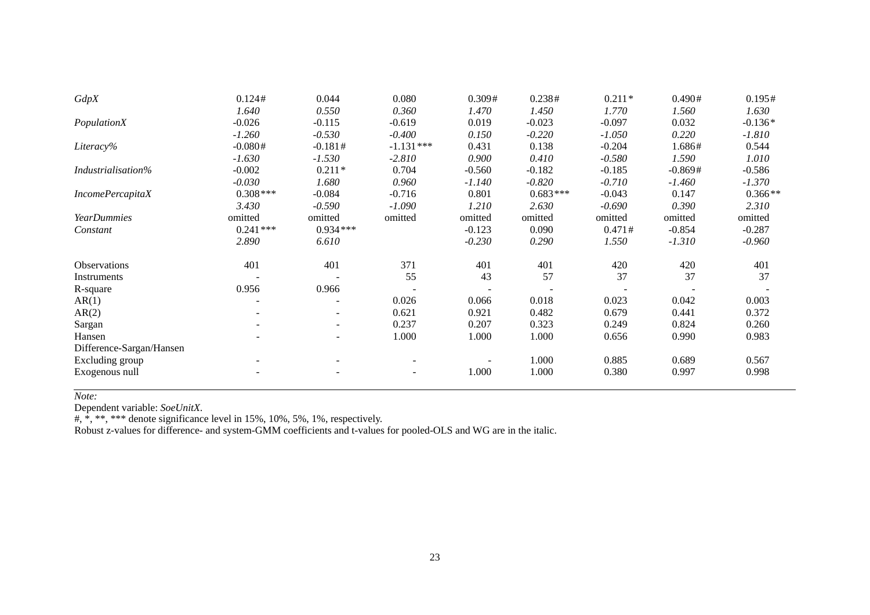| GdpX                     | 0.124#     | 0.044      | 0.080       | 0.309#   | 0.238#     | $0.211*$ | 0.490#    | 0.195#    |
|--------------------------|------------|------------|-------------|----------|------------|----------|-----------|-----------|
|                          | 1.640      | 0.550      | 0.360       | 1.470    | 1.450      | 1.770    | 1.560     | 1.630     |
| PopulationX              | $-0.026$   | $-0.115$   | $-0.619$    | 0.019    | $-0.023$   | $-0.097$ | 0.032     | $-0.136*$ |
|                          | $-1.260$   | $-0.530$   | $-0.400$    | 0.150    | $-0.220$   | $-1.050$ | 0.220     | $-1.810$  |
| Literacy%                | $-0.080#$  | $-0.181#$  | $-1.131***$ | 0.431    | 0.138      | $-0.204$ | 1.686#    | 0.544     |
|                          | $-1.630$   | $-1.530$   | $-2.810$    | 0.900    | 0.410      | $-0.580$ | 1.590     | 1.010     |
| Industrialisation%       | $-0.002$   | $0.211*$   | 0.704       | $-0.560$ | $-0.182$   | $-0.185$ | $-0.869#$ | $-0.586$  |
|                          | $-0.030$   | 1.680      | 0.960       | $-1.140$ | $-0.820$   | $-0.710$ | $-1.460$  | $-1.370$  |
| <b>IncomePercapitaX</b>  | $0.308***$ | $-0.084$   | $-0.716$    | 0.801    | $0.683***$ | $-0.043$ | 0.147     | $0.366**$ |
|                          | 3.430      | $-0.590$   | $-1.090$    | 1.210    | 2.630      | $-0.690$ | 0.390     | 2.310     |
| <b>YearDummies</b>       | omitted    | omitted    | omitted     | omitted  | omitted    | omitted  | omitted   | omitted   |
| Constant                 | $0.241***$ | $0.934***$ |             | $-0.123$ | 0.090      | 0.471#   | $-0.854$  | $-0.287$  |
|                          | 2.890      | 6.610      |             | $-0.230$ | 0.290      | 1.550    | $-1.310$  | $-0.960$  |
| <b>Observations</b>      | 401        | 401        | 371         | 401      | 401        | 420      | 420       | 401       |
| Instruments              |            |            | 55          | 43       | 57         | 37       | 37        | 37        |
| R-square                 | 0.956      | 0.966      |             |          |            |          |           |           |
| AR(1)                    |            |            | 0.026       | 0.066    | 0.018      | 0.023    | 0.042     | 0.003     |
| AR(2)                    |            | -          | 0.621       | 0.921    | 0.482      | 0.679    | 0.441     | 0.372     |
| Sargan                   |            | Ξ.         | 0.237       | 0.207    | 0.323      | 0.249    | 0.824     | 0.260     |
| Hansen                   |            |            | 1.000       | 1.000    | 1.000      | 0.656    | 0.990     | 0.983     |
| Difference-Sargan/Hansen |            |            |             |          |            |          |           |           |
| Excluding group          |            |            |             |          | 1.000      | 0.885    | 0.689     | 0.567     |
| Exogenous null           |            |            |             | 1.000    | 1.000      | 0.380    | 0.997     | 0.998     |

*Note:* 

Dependent variable: *SoeUnitX*.

#, \*, \*\*, \*\*\* denote significance level in 15%, 10%, 5%, 1%, respectively.

Robust z-values for difference- and system-GMM coefficients and t-values for pooled-OLS and WG are in the italic.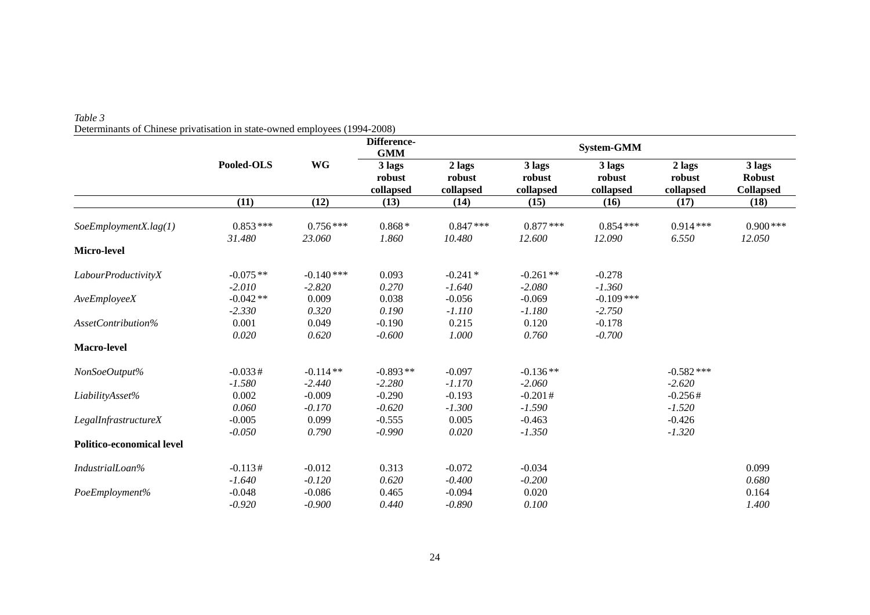| $\sim$ community of children privational in state of fitted employees (1999). | Pooled-OLS             |                          |                               |                               |                               | Difference-<br><b>GMM</b>     |                               |                                             | <b>System-GMM</b> |  |  |
|-------------------------------------------------------------------------------|------------------------|--------------------------|-------------------------------|-------------------------------|-------------------------------|-------------------------------|-------------------------------|---------------------------------------------|-------------------|--|--|
|                                                                               |                        | <b>WG</b>                | 3 lags<br>robust<br>collapsed | 2 lags<br>robust<br>collapsed | 3 lags<br>robust<br>collapsed | 3 lags<br>robust<br>collapsed | 2 lags<br>robust<br>collapsed | 3 lags<br><b>Robust</b><br><b>Collapsed</b> |                   |  |  |
|                                                                               | (11)                   | (12)                     | (13)                          | (14)                          | (15)                          | (16)                          | (17)                          | (18)                                        |                   |  |  |
| SoeEmploymentX.lag(1)                                                         | $0.853***$<br>31.480   | $0.756***$<br>23.060     | $0.868*$<br>1.860             | $0.847***$<br>10.480          | $0.877$ ***<br>12.600         | $0.854***$<br>12.090          | $0.914***$<br>6.550           | $0.900$ ***<br>12.050                       |                   |  |  |
| Micro-level                                                                   |                        |                          |                               |                               |                               |                               |                               |                                             |                   |  |  |
| LabourProductivityX                                                           | $-0.075**$<br>$-2.010$ | $-0.140$ ***<br>$-2.820$ | 0.093<br>0.270                | $-0.241*$<br>$-1.640$         | $-0.261**$<br>$-2.080$        | $-0.278$<br>$-1.360$          |                               |                                             |                   |  |  |
| AveEmployeeX                                                                  | $-0.042**$<br>$-2.330$ | 0.009<br>0.320           | 0.038<br>0.190                | $-0.056$<br>$-1.110$          | $-0.069$<br>$-1.180$          | $-0.109$ ***<br>$-2.750$      |                               |                                             |                   |  |  |
| AssetContribution%                                                            | 0.001<br>0.020         | 0.049<br>0.620           | $-0.190$<br>$-0.600$          | 0.215<br>1.000                | 0.120<br>0.760                | $-0.178$<br>$-0.700$          |                               |                                             |                   |  |  |
| Macro-level                                                                   |                        |                          |                               |                               |                               |                               |                               |                                             |                   |  |  |
| NonSoeOutput%                                                                 | $-0.033#$<br>$-1.580$  | $-0.114**$<br>$-2.440$   | $-0.893**$<br>$-2.280$        | $-0.097$<br>$-1.170$          | $-0.136**$<br>$-2.060$        |                               | $-0.582$ ***<br>$-2.620$      |                                             |                   |  |  |
| LiabilityAsset%                                                               | 0.002<br>0.060         | $-0.009$<br>$-0.170$     | $-0.290$<br>$-0.620$          | $-0.193$<br>$-1.300$          | $-0.201#$<br>$-1.590$         |                               | $-0.256#$<br>$-1.520$         |                                             |                   |  |  |
| LegalInfrastructureX                                                          | $-0.005$<br>$-0.050$   | 0.099<br>0.790           | $-0.555$<br>$-0.990$          | 0.005<br>0.020                | $-0.463$<br>$-1.350$          |                               | $-0.426$<br>$-1.320$          |                                             |                   |  |  |
| <b>Politico-economical level</b>                                              |                        |                          |                               |                               |                               |                               |                               |                                             |                   |  |  |
| IndustrialLoan%                                                               | $-0.113#$<br>$-1.640$  | $-0.012$<br>$-0.120$     | 0.313<br>0.620                | $-0.072$<br>$-0.400$          | $-0.034$<br>$-0.200$          |                               |                               | 0.099<br>0.680                              |                   |  |  |
| PoeEmployment%                                                                | $-0.048$<br>$-0.920$   | $-0.086$<br>$-0.900$     | 0.465<br>0.440                | $-0.094$<br>$-0.890$          | 0.020<br>0.100                |                               |                               | 0.164<br>1.400                              |                   |  |  |

#### *Table 3*  Determinants of Chinese privatisation in state-owned employees (1994-2008)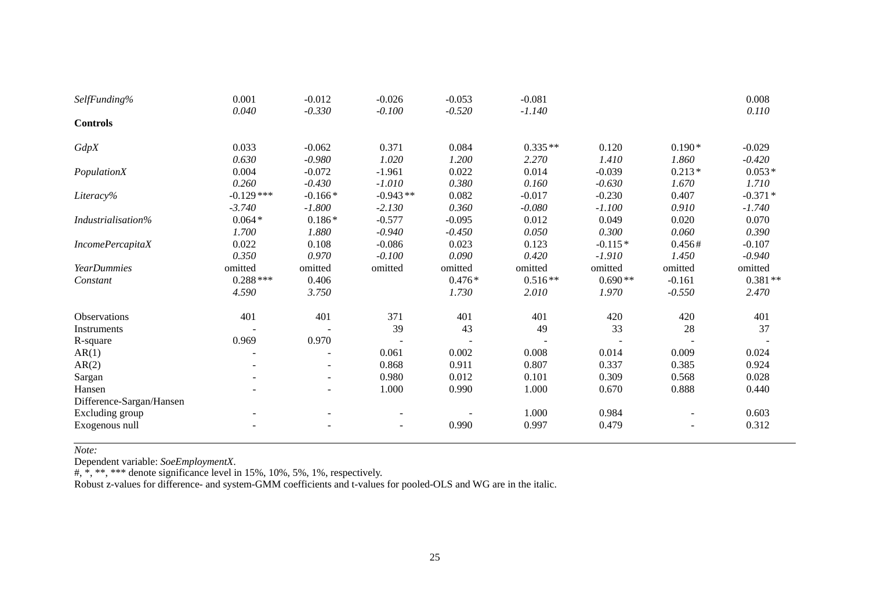| SelfFunding%             | 0.001        | $-0.012$  | $-0.026$   | $-0.053$ | $-0.081$  |           |          | 0.008     |
|--------------------------|--------------|-----------|------------|----------|-----------|-----------|----------|-----------|
|                          | 0.040        | $-0.330$  | $-0.100$   | $-0.520$ | $-1.140$  |           |          | 0.110     |
| <b>Controls</b>          |              |           |            |          |           |           |          |           |
| GdpX                     | 0.033        | $-0.062$  | 0.371      | 0.084    | $0.335**$ | 0.120     | $0.190*$ | $-0.029$  |
|                          | 0.630        | $-0.980$  | 1.020      | 1.200    | 2.270     | 1.410     | 1.860    | $-0.420$  |
| PopulationX              | 0.004        | $-0.072$  | $-1.961$   | 0.022    | 0.014     | $-0.039$  | $0.213*$ | $0.053*$  |
|                          | 0.260        | $-0.430$  | $-1.010$   | 0.380    | 0.160     | $-0.630$  | 1.670    | 1.710     |
| Literacy%                | $-0.129$ *** | $-0.166*$ | $-0.943**$ | 0.082    | $-0.017$  | $-0.230$  | 0.407    | $-0.371*$ |
|                          | $-3.740$     | $-1.800$  | $-2.130$   | 0.360    | $-0.080$  | $-1.100$  | 0.910    | $-1.740$  |
| Industrialisation%       | $0.064*$     | $0.186*$  | $-0.577$   | $-0.095$ | 0.012     | 0.049     | 0.020    | 0.070     |
|                          | 1.700        | 1.880     | $-0.940$   | $-0.450$ | 0.050     | 0.300     | 0.060    | 0.390     |
| <b>IncomePercapitaX</b>  | 0.022        | 0.108     | $-0.086$   | 0.023    | 0.123     | $-0.115*$ | 0.456#   | $-0.107$  |
|                          | 0.350        | 0.970     | $-0.100$   | 0.090    | 0.420     | $-1.910$  | 1.450    | $-0.940$  |
| <b>YearDummies</b>       | omitted      | omitted   | omitted    | omitted  | omitted   | omitted   | omitted  | omitted   |
| Constant                 | $0.288***$   | 0.406     |            | $0.476*$ | $0.516**$ | $0.690**$ | $-0.161$ | $0.381**$ |
|                          | 4.590        | 3.750     |            | 1.730    | 2.010     | 1.970     | $-0.550$ | 2.470     |
| Observations             | 401          | 401       | 371        | 401      | 401       | 420       | 420      | 401       |
| Instruments              |              |           | 39         | 43       | 49        | 33        | 28       | 37        |
| R-square                 | 0.969        | 0.970     |            |          |           |           |          |           |
| AR(1)                    | ۰            |           | 0.061      | 0.002    | 0.008     | 0.014     | 0.009    | 0.024     |
| AR(2)                    |              |           | 0.868      | 0.911    | 0.807     | 0.337     | 0.385    | 0.924     |
| Sargan                   |              |           | 0.980      | 0.012    | 0.101     | 0.309     | 0.568    | 0.028     |
| Hansen                   |              |           | 1.000      | 0.990    | 1.000     | 0.670     | 0.888    | 0.440     |
| Difference-Sargan/Hansen |              |           |            |          |           |           |          |           |
| Excluding group          |              |           |            |          | 1.000     | 0.984     |          | 0.603     |
| Exogenous null           |              |           |            | 0.990    | 0.997     | 0.479     |          | 0.312     |

*Note:* 

Dependent variable: *SoeEmploymentX*.

#, \*, \*\*, \*\*\* denote significance level in 15%, 10%, 5%, 1%, respectively.

Robust z-values for difference- and system-GMM coefficients and t-values for pooled-OLS and WG are in the italic.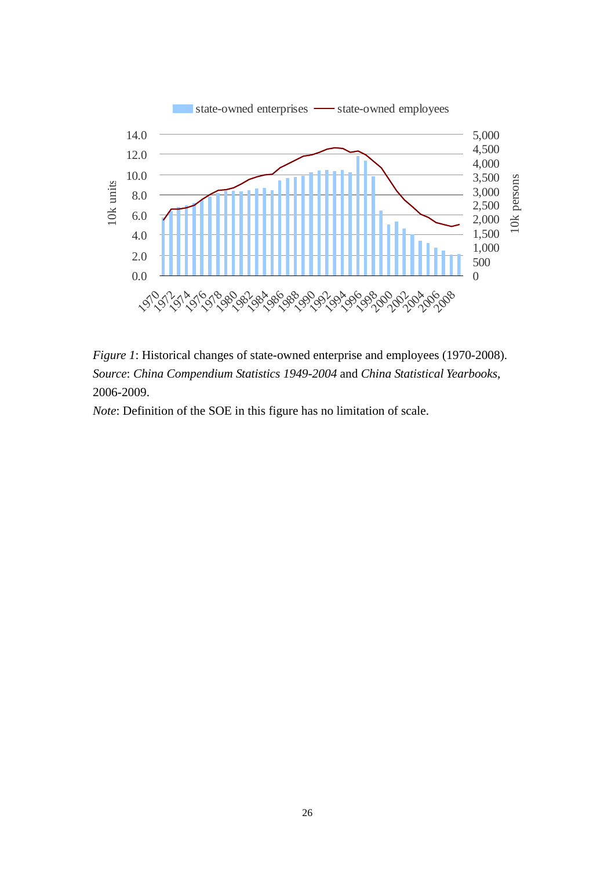

*Figure 1*: Historical changes of state-owned enterprise and employees (1970-2008). *Source*: *China Compendium Statistics 1949-2004* and *China Statistical Yearbooks*, 2006-2009.

*Note*: Definition of the SOE in this figure has no limitation of scale.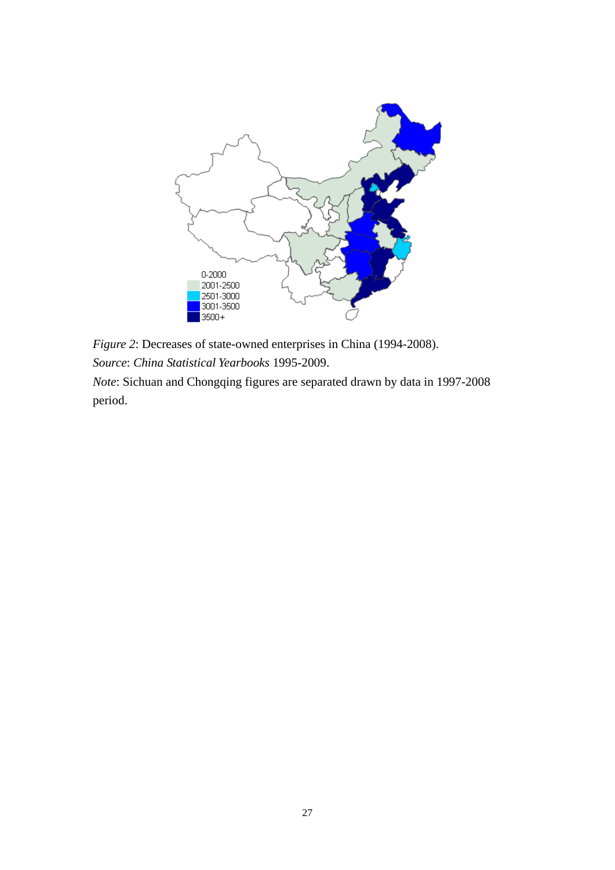

*Figure 2*: Decreases of state-owned enterprises in China (1994-2008). *Source*: *China Statistical Yearbooks* 1995-2009.

*Note*: Sichuan and Chongqing figures are separated drawn by data in 1997-2008 period.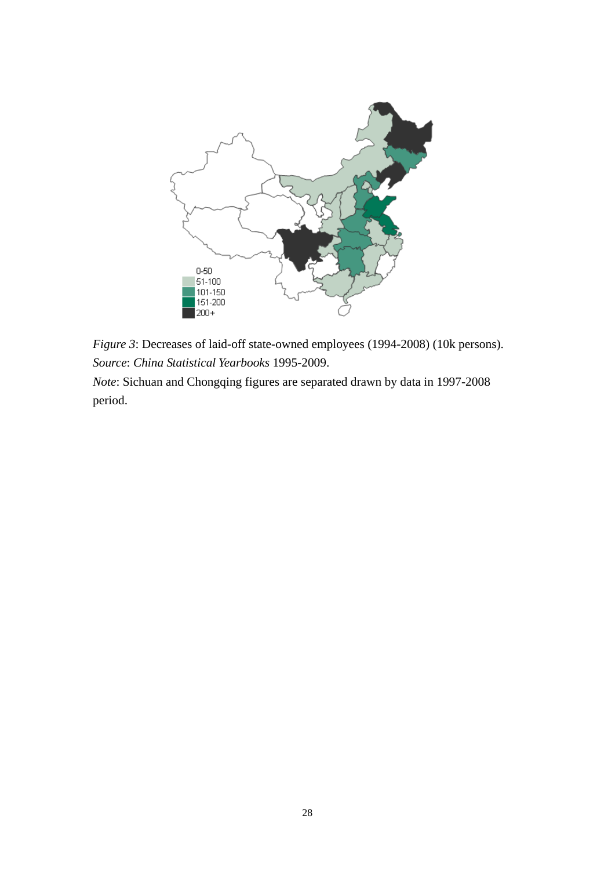

*Figure 3*: Decreases of laid-off state-owned employees (1994-2008) (10k persons). *Source*: *China Statistical Yearbooks* 1995-2009.

*Note*: Sichuan and Chongqing figures are separated drawn by data in 1997-2008 period.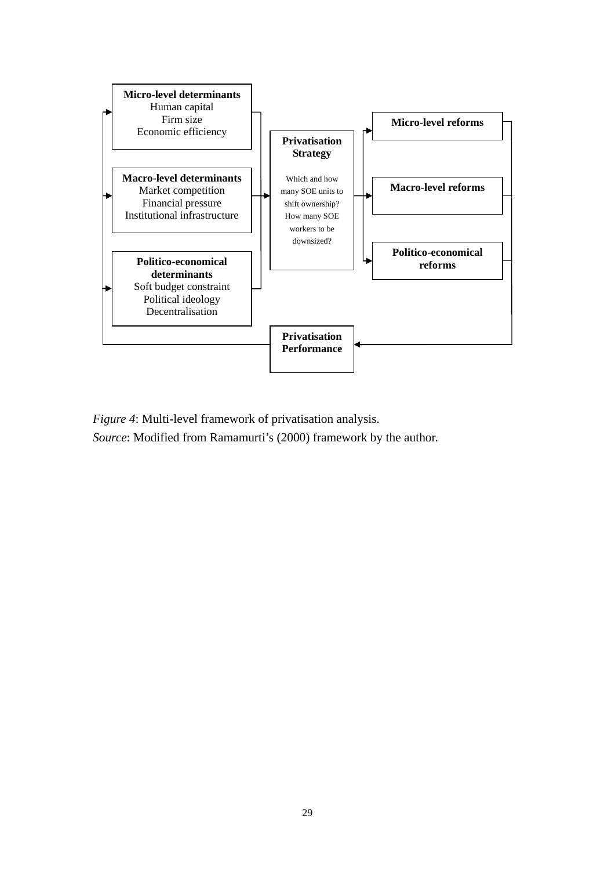

*Figure 4*: Multi-level framework of privatisation analysis.

*Source*: Modified from Ramamurti's (2000) framework by the author.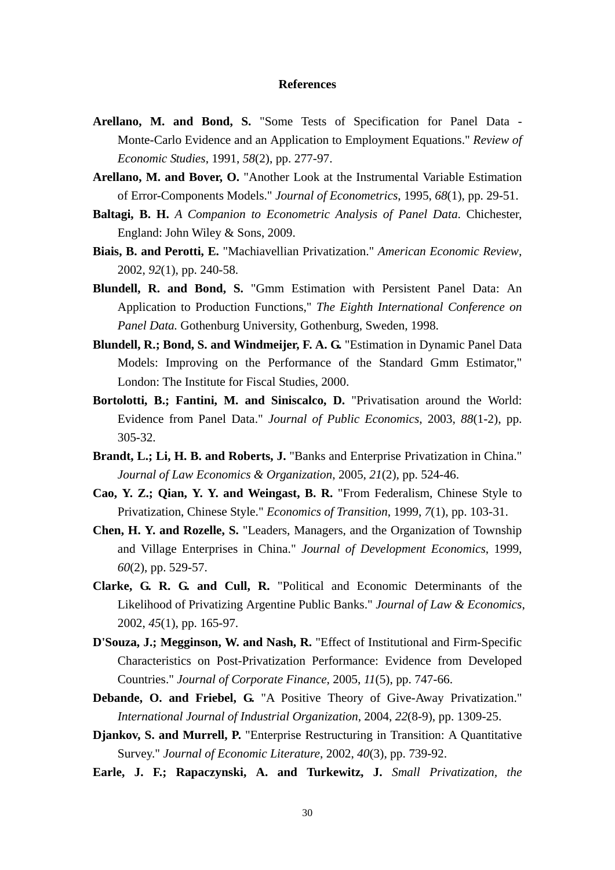## **References**

- **Arellano, M. and Bond, S.** "Some Tests of Specification for Panel Data Monte-Carlo Evidence and an Application to Employment Equations." *Review of Economic Studies*, 1991, *58*(2), pp. 277-97.
- **Arellano, M. and Bover, O.** "Another Look at the Instrumental Variable Estimation of Error-Components Models." *Journal of Econometrics*, 1995, *68*(1), pp. 29-51.
- **Baltagi, B. H.** *A Companion to Econometric Analysis of Panel Data*. Chichester, England: John Wiley & Sons, 2009.
- **Biais, B. and Perotti, E.** "Machiavellian Privatization." *American Economic Review*, 2002, *92*(1), pp. 240-58.
- **Blundell, R. and Bond, S.** "Gmm Estimation with Persistent Panel Data: An Application to Production Functions," *The Eighth International Conference on Panel Data.* Gothenburg University, Gothenburg, Sweden, 1998.
- **Blundell, R.; Bond, S. and Windmeijer, F. A. G.** "Estimation in Dynamic Panel Data Models: Improving on the Performance of the Standard Gmm Estimator," London: The Institute for Fiscal Studies, 2000.
- **Bortolotti, B.; Fantini, M. and Siniscalco, D.** "Privatisation around the World: Evidence from Panel Data." *Journal of Public Economics*, 2003, *88*(1-2), pp. 305-32.
- **Brandt, L.; Li, H. B. and Roberts, J.** "Banks and Enterprise Privatization in China." *Journal of Law Economics & Organization*, 2005, *21*(2), pp. 524-46.
- **Cao, Y. Z.; Qian, Y. Y. and Weingast, B. R.** "From Federalism, Chinese Style to Privatization, Chinese Style." *Economics of Transition*, 1999, *7*(1), pp. 103-31.
- **Chen, H. Y. and Rozelle, S.** "Leaders, Managers, and the Organization of Township and Village Enterprises in China." *Journal of Development Economics*, 1999, *60*(2), pp. 529-57.
- **Clarke, G. R. G. and Cull, R.** "Political and Economic Determinants of the Likelihood of Privatizing Argentine Public Banks." *Journal of Law & Economics*, 2002, *45*(1), pp. 165-97.
- **D'Souza, J.; Megginson, W. and Nash, R.** "Effect of Institutional and Firm-Specific Characteristics on Post-Privatization Performance: Evidence from Developed Countries." *Journal of Corporate Finance*, 2005, *11*(5), pp. 747-66.
- **Debande, O. and Friebel, G.** "A Positive Theory of Give-Away Privatization." *International Journal of Industrial Organization*, 2004, *22*(8-9), pp. 1309-25.
- **Djankov, S. and Murrell, P.** "Enterprise Restructuring in Transition: A Quantitative Survey." *Journal of Economic Literature*, 2002, *40*(3), pp. 739-92.
- **Earle, J. F.; Rapaczynski, A. and Turkewitz, J.** *Small Privatization, the*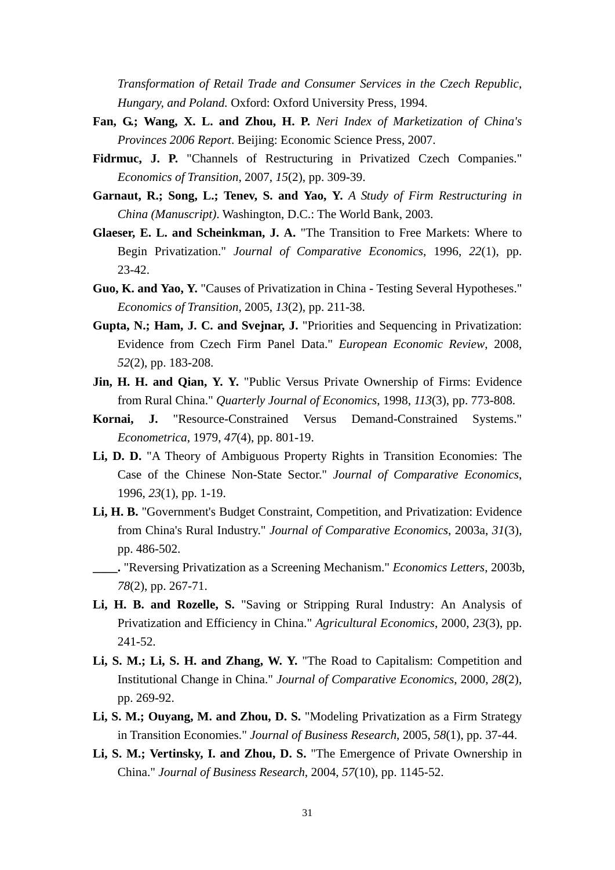*Transformation of Retail Trade and Consumer Services in the Czech Republic, Hungary, and Poland.* Oxford: Oxford University Press, 1994.

- **Fan, G.; Wang, X. L. and Zhou, H. P.** *Neri Index of Marketization of China's Provinces 2006 Report*. Beijing: Economic Science Press, 2007.
- **Fidrmuc, J. P.** "Channels of Restructuring in Privatized Czech Companies." *Economics of Transition*, 2007, *15*(2), pp. 309-39.
- **Garnaut, R.; Song, L.; Tenev, S. and Yao, Y.** *A Study of Firm Restructuring in China (Manuscript)*. Washington, D.C.: The World Bank, 2003.
- **Glaeser, E. L. and Scheinkman, J. A.** "The Transition to Free Markets: Where to Begin Privatization." *Journal of Comparative Economics*, 1996, *22*(1), pp. 23-42.
- **Guo, K. and Yao, Y.** "Causes of Privatization in China Testing Several Hypotheses." *Economics of Transition*, 2005, *13*(2), pp. 211-38.
- **Gupta, N.; Ham, J. C. and Svejnar, J.** "Priorities and Sequencing in Privatization: Evidence from Czech Firm Panel Data." *European Economic Review*, 2008, *52*(2), pp. 183-208.
- **Jin, H. H. and Qian, Y. Y.** "Public Versus Private Ownership of Firms: Evidence from Rural China." *Quarterly Journal of Economics*, 1998, *113*(3), pp. 773-808.
- **Kornai, J.** "Resource-Constrained Versus Demand-Constrained Systems." *Econometrica*, 1979, *47*(4), pp. 801-19.
- **Li, D. D.** "A Theory of Ambiguous Property Rights in Transition Economies: The Case of the Chinese Non-State Sector." *Journal of Comparative Economics*, 1996, *23*(1), pp. 1-19.
- **Li, H. B.** "Government's Budget Constraint, Competition, and Privatization: Evidence from China's Rural Industry." *Journal of Comparative Economics*, 2003a, *31*(3), pp. 486-502.
- **\_\_\_\_.** "Reversing Privatization as a Screening Mechanism." *Economics Letters*, 2003b, *78*(2), pp. 267-71.
- **Li, H. B. and Rozelle, S.** "Saving or Stripping Rural Industry: An Analysis of Privatization and Efficiency in China." *Agricultural Economics*, 2000, *23*(3), pp. 241-52.
- Li, S. M.; Li, S. H. and Zhang, W. Y. "The Road to Capitalism: Competition and Institutional Change in China." *Journal of Comparative Economics*, 2000, *28*(2), pp. 269-92.
- **Li, S. M.; Ouyang, M. and Zhou, D. S.** "Modeling Privatization as a Firm Strategy in Transition Economies." *Journal of Business Research*, 2005, *58*(1), pp. 37-44.
- **Li, S. M.; Vertinsky, I. and Zhou, D. S.** "The Emergence of Private Ownership in China." *Journal of Business Research*, 2004, *57*(10), pp. 1145-52.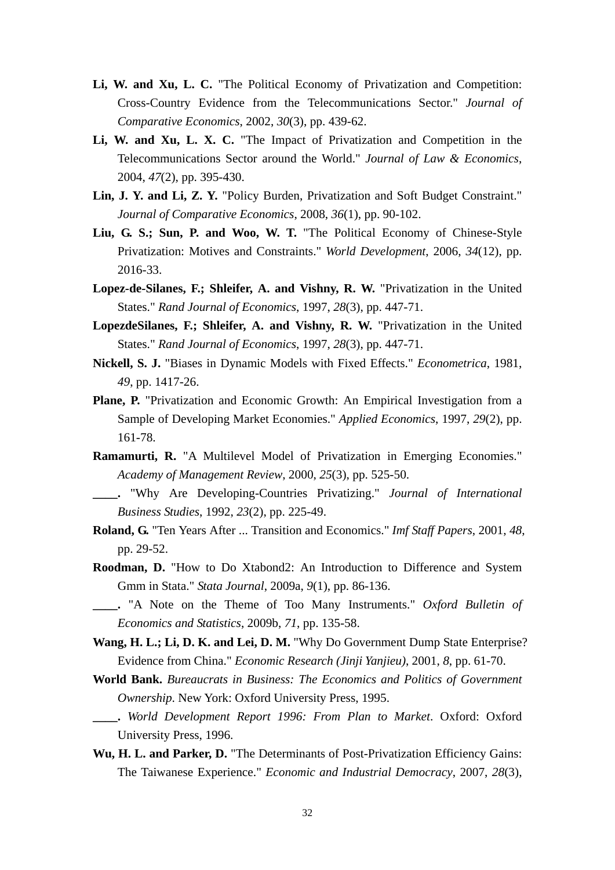- Li, W. and Xu, L. C. "The Political Economy of Privatization and Competition: Cross-Country Evidence from the Telecommunications Sector." *Journal of Comparative Economics*, 2002, *30*(3), pp. 439-62.
- Li, W. and Xu, L. X. C. "The Impact of Privatization and Competition in the Telecommunications Sector around the World." *Journal of Law & Economics*, 2004, *47*(2), pp. 395-430.
- **Lin, J. Y. and Li, Z. Y.** "Policy Burden, Privatization and Soft Budget Constraint." *Journal of Comparative Economics*, 2008, *36*(1), pp. 90-102.
- **Liu, G. S.; Sun, P. and Woo, W. T.** "The Political Economy of Chinese-Style Privatization: Motives and Constraints." *World Development*, 2006, *34*(12), pp. 2016-33.
- **Lopez-de-Silanes, F.; Shleifer, A. and Vishny, R. W.** "Privatization in the United States." *Rand Journal of Economics*, 1997, *28*(3), pp. 447-71.
- **LopezdeSilanes, F.; Shleifer, A. and Vishny, R. W.** "Privatization in the United States." *Rand Journal of Economics*, 1997, *28*(3), pp. 447-71.
- **Nickell, S. J.** "Biases in Dynamic Models with Fixed Effects." *Econometrica*, 1981, *49*, pp. 1417-26.
- **Plane, P.** "Privatization and Economic Growth: An Empirical Investigation from a Sample of Developing Market Economies." *Applied Economics*, 1997, *29*(2), pp. 161-78.
- **Ramamurti, R.** "A Multilevel Model of Privatization in Emerging Economies." *Academy of Management Review*, 2000, *25*(3), pp. 525-50.
- **\_\_\_\_.** "Why Are Developing-Countries Privatizing." *Journal of International Business Studies*, 1992, *23*(2), pp. 225-49.
- **Roland, G.** "Ten Years After ... Transition and Economics." *Imf Staff Papers*, 2001, *48*, pp. 29-52.
- **Roodman, D.** "How to Do Xtabond2: An Introduction to Difference and System Gmm in Stata." *Stata Journal*, 2009a, *9*(1), pp. 86-136.
- **\_\_\_\_.** "A Note on the Theme of Too Many Instruments." *Oxford Bulletin of Economics and Statistics*, 2009b, *71*, pp. 135-58.
- **Wang, H. L.; Li, D. K. and Lei, D. M.** "Why Do Government Dump State Enterprise? Evidence from China." *Economic Research (Jinji Yanjieu)*, 2001, *8*, pp. 61-70.
- **World Bank.** *Bureaucrats in Business: The Economics and Politics of Government Ownership*. New York: Oxford University Press, 1995.
- **\_\_\_\_.** *World Development Report 1996: From Plan to Market*. Oxford: Oxford University Press, 1996.
- **Wu, H. L. and Parker, D.** "The Determinants of Post-Privatization Efficiency Gains: The Taiwanese Experience." *Economic and Industrial Democracy*, 2007, *28*(3),